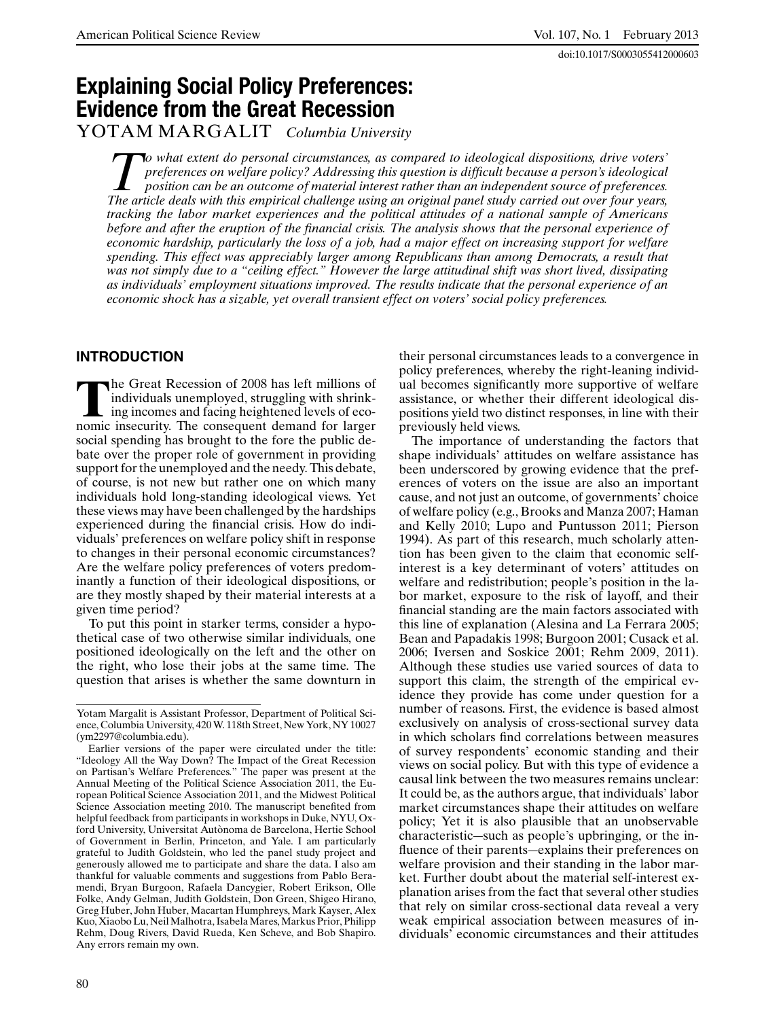doi:10.1017/S0003055412000603

# **Explaining Social Policy Preferences: Evidence from the Great Recession**

YOTAM MARGALIT *Columbia University*

*To what extent do personal circumstances, as compared to ideological dispositions, drive voters'*<br>preferences on welfare policy? Addressing this question is difficult because a person's ideological<br>position can be an outc *preferences on welfare policy? Addressing this question is difficult because a person's ideological position can be an outcome of material interest rather than an independent source of preferences. The article deals with this empirical challenge using an original panel study carried out over four years, tracking the labor market experiences and the political attitudes of a national sample of Americans before and after the eruption of the financial crisis. The analysis shows that the personal experience of economic hardship, particularly the loss of a job, had a major effect on increasing support for welfare spending. This effect was appreciably larger among Republicans than among Democrats, a result that was not simply due to a "ceiling effect." However the large attitudinal shift was short lived, dissipating as individuals' employment situations improved. The results indicate that the personal experience of an economic shock has a sizable, yet overall transient effect on voters' social policy preferences.*

# **INTRODUCTION**

**The Great Recession of 2008 has left millions of individuals unemployed, struggling with shrinking incomes and facing heightened levels of economic insecurity. The consequent demand for larger** individuals unemployed, struggling with shrinking incomes and facing heightened levels of economic insecurity. The consequent demand for larger social spending has brought to the fore the public debate over the proper role of government in providing support for the unemployed and the needy. This debate, of course, is not new but rather one on which many individuals hold long-standing ideological views. Yet these views may have been challenged by the hardships experienced during the financial crisis. How do individuals' preferences on welfare policy shift in response to changes in their personal economic circumstances? Are the welfare policy preferences of voters predominantly a function of their ideological dispositions, or are they mostly shaped by their material interests at a given time period?

To put this point in starker terms, consider a hypothetical case of two otherwise similar individuals, one positioned ideologically on the left and the other on the right, who lose their jobs at the same time. The question that arises is whether the same downturn in their personal circumstances leads to a convergence in policy preferences, whereby the right-leaning individual becomes significantly more supportive of welfare assistance, or whether their different ideological dispositions yield two distinct responses, in line with their previously held views.

The importance of understanding the factors that shape individuals' attitudes on welfare assistance has been underscored by growing evidence that the preferences of voters on the issue are also an important cause, and not just an outcome, of governments' choice of welfare policy (e.g., Brooks and Manza 2007; Haman and Kelly 2010; Lupo and Puntusson 2011; Pierson 1994). As part of this research, much scholarly attention has been given to the claim that economic selfinterest is a key determinant of voters' attitudes on welfare and redistribution; people's position in the labor market, exposure to the risk of layoff, and their financial standing are the main factors associated with this line of explanation (Alesina and La Ferrara 2005; Bean and Papadakis 1998; Burgoon 2001; Cusack et al. 2006; Iversen and Soskice 2001; Rehm 2009, 2011). Although these studies use varied sources of data to support this claim, the strength of the empirical evidence they provide has come under question for a number of reasons. First, the evidence is based almost exclusively on analysis of cross-sectional survey data in which scholars find correlations between measures of survey respondents' economic standing and their views on social policy. But with this type of evidence a causal link between the two measures remains unclear: It could be, as the authors argue, that individuals' labor market circumstances shape their attitudes on welfare policy; Yet it is also plausible that an unobservable characteristic—such as people's upbringing, or the influence of their parents—explains their preferences on welfare provision and their standing in the labor market. Further doubt about the material self-interest explanation arises from the fact that several other studies that rely on similar cross-sectional data reveal a very weak empirical association between measures of individuals' economic circumstances and their attitudes

Yotam Margalit is Assistant Professor, Department of Political Science, Columbia University, 420W. 118th Street, New York, NY 10027 (ym2297@columbia.edu).

Earlier versions of the paper were circulated under the title: "Ideology All the Way Down? The Impact of the Great Recession on Partisan's Welfare Preferences." The paper was present at the Annual Meeting of the Political Science Association 2011, the European Political Science Association 2011, and the Midwest Political Science Association meeting 2010. The manuscript benefited from helpful feedback from participants in workshops in Duke, NYU, Oxford University, Universitat Autònoma de Barcelona, Hertie School of Government in Berlin, Princeton, and Yale. I am particularly grateful to Judith Goldstein, who led the panel study project and generously allowed me to participate and share the data. I also am thankful for valuable comments and suggestions from Pablo Beramendi, Bryan Burgoon, Rafaela Dancygier, Robert Erikson, Olle Folke, Andy Gelman, Judith Goldstein, Don Green, Shigeo Hirano, Greg Huber, John Huber, Macartan Humphreys, Mark Kayser, Alex Kuo, Xiaobo Lu, Neil Malhotra, Isabela Mares, Markus Prior, Philipp Rehm, Doug Rivers, David Rueda, Ken Scheve, and Bob Shapiro. Any errors remain my own.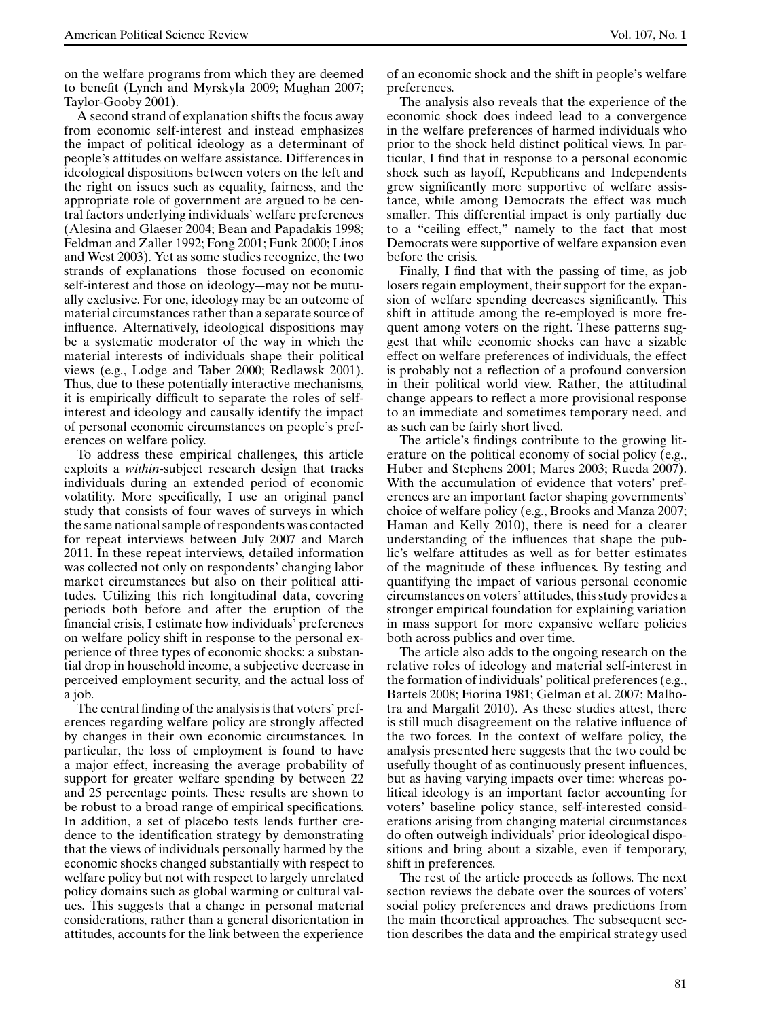on the welfare programs from which they are deemed to benefit (Lynch and Myrskyla 2009; Mughan 2007; Taylor-Gooby 2001).

A second strand of explanation shifts the focus away from economic self-interest and instead emphasizes the impact of political ideology as a determinant of people's attitudes on welfare assistance. Differences in ideological dispositions between voters on the left and the right on issues such as equality, fairness, and the appropriate role of government are argued to be central factors underlying individuals' welfare preferences (Alesina and Glaeser 2004; Bean and Papadakis 1998; Feldman and Zaller 1992; Fong 2001; Funk 2000; Linos and West 2003). Yet as some studies recognize, the two strands of explanations—those focused on economic self-interest and those on ideology—may not be mutually exclusive. For one, ideology may be an outcome of material circumstances rather than a separate source of influence. Alternatively, ideological dispositions may be a systematic moderator of the way in which the material interests of individuals shape their political views (e.g., Lodge and Taber 2000; Redlawsk 2001). Thus, due to these potentially interactive mechanisms, it is empirically difficult to separate the roles of selfinterest and ideology and causally identify the impact of personal economic circumstances on people's preferences on welfare policy.

To address these empirical challenges, this article exploits a *within*-subject research design that tracks individuals during an extended period of economic volatility. More specifically, I use an original panel study that consists of four waves of surveys in which the same national sample of respondents was contacted for repeat interviews between July 2007 and March 2011. In these repeat interviews, detailed information was collected not only on respondents' changing labor market circumstances but also on their political attitudes. Utilizing this rich longitudinal data, covering periods both before and after the eruption of the financial crisis, I estimate how individuals' preferences on welfare policy shift in response to the personal experience of three types of economic shocks: a substantial drop in household income, a subjective decrease in perceived employment security, and the actual loss of a job.

The central finding of the analysis is that voters' preferences regarding welfare policy are strongly affected by changes in their own economic circumstances. In particular, the loss of employment is found to have a major effect, increasing the average probability of support for greater welfare spending by between 22 and 25 percentage points. These results are shown to be robust to a broad range of empirical specifications. In addition, a set of placebo tests lends further credence to the identification strategy by demonstrating that the views of individuals personally harmed by the economic shocks changed substantially with respect to welfare policy but not with respect to largely unrelated policy domains such as global warming or cultural values. This suggests that a change in personal material considerations, rather than a general disorientation in attitudes, accounts for the link between the experience

of an economic shock and the shift in people's welfare preferences.

The analysis also reveals that the experience of the economic shock does indeed lead to a convergence in the welfare preferences of harmed individuals who prior to the shock held distinct political views. In particular, I find that in response to a personal economic shock such as layoff, Republicans and Independents grew significantly more supportive of welfare assistance, while among Democrats the effect was much smaller. This differential impact is only partially due to a "ceiling effect," namely to the fact that most Democrats were supportive of welfare expansion even before the crisis.

Finally, I find that with the passing of time, as job losers regain employment, their support for the expansion of welfare spending decreases significantly. This shift in attitude among the re-employed is more frequent among voters on the right. These patterns suggest that while economic shocks can have a sizable effect on welfare preferences of individuals, the effect is probably not a reflection of a profound conversion in their political world view. Rather, the attitudinal change appears to reflect a more provisional response to an immediate and sometimes temporary need, and as such can be fairly short lived.

The article's findings contribute to the growing literature on the political economy of social policy (e.g., Huber and Stephens 2001; Mares 2003; Rueda 2007). With the accumulation of evidence that voters' preferences are an important factor shaping governments' choice of welfare policy (e.g., Brooks and Manza 2007; Haman and Kelly 2010), there is need for a clearer understanding of the influences that shape the public's welfare attitudes as well as for better estimates of the magnitude of these influences. By testing and quantifying the impact of various personal economic circumstances on voters' attitudes, this study provides a stronger empirical foundation for explaining variation in mass support for more expansive welfare policies both across publics and over time.

The article also adds to the ongoing research on the relative roles of ideology and material self-interest in the formation of individuals' political preferences (e.g., Bartels 2008; Fiorina 1981; Gelman et al. 2007; Malhotra and Margalit 2010). As these studies attest, there is still much disagreement on the relative influence of the two forces. In the context of welfare policy, the analysis presented here suggests that the two could be usefully thought of as continuously present influences, but as having varying impacts over time: whereas political ideology is an important factor accounting for voters' baseline policy stance, self-interested considerations arising from changing material circumstances do often outweigh individuals' prior ideological dispositions and bring about a sizable, even if temporary, shift in preferences.

The rest of the article proceeds as follows. The next section reviews the debate over the sources of voters' social policy preferences and draws predictions from the main theoretical approaches. The subsequent section describes the data and the empirical strategy used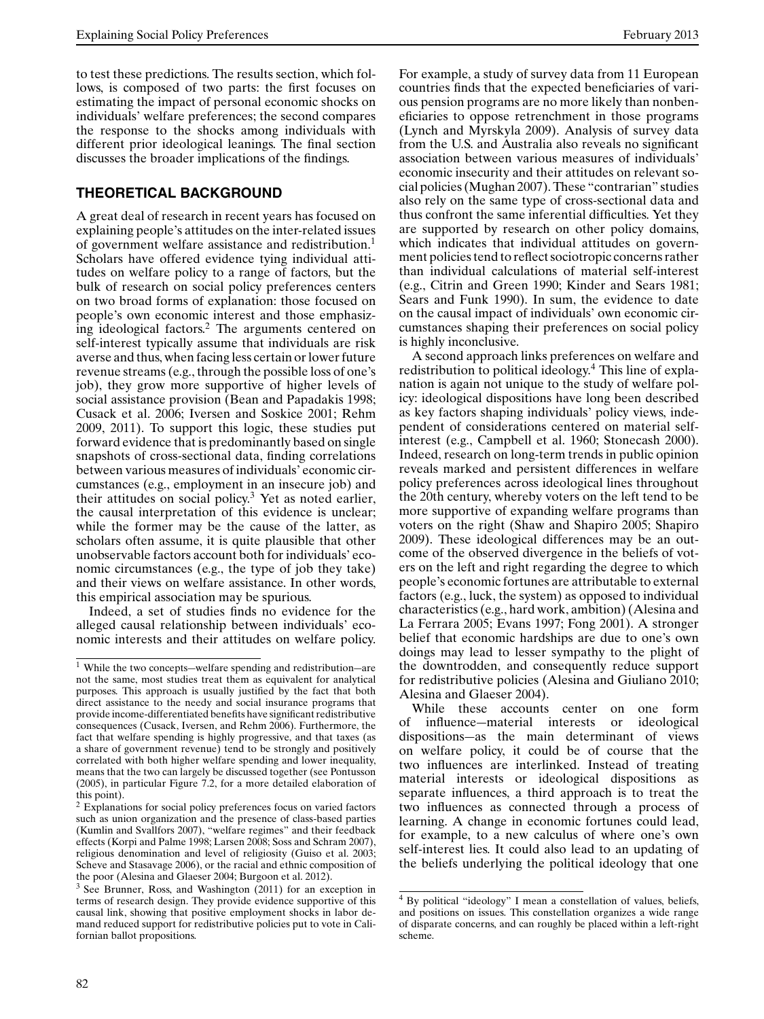to test these predictions. The results section, which follows, is composed of two parts: the first focuses on estimating the impact of personal economic shocks on individuals' welfare preferences; the second compares the response to the shocks among individuals with different prior ideological leanings. The final section discusses the broader implications of the findings.

# **THEORETICAL BACKGROUND**

A great deal of research in recent years has focused on explaining people's attitudes on the inter-related issues of government welfare assistance and redistribution.<sup>1</sup> Scholars have offered evidence tying individual attitudes on welfare policy to a range of factors, but the bulk of research on social policy preferences centers on two broad forms of explanation: those focused on people's own economic interest and those emphasizing ideological factors.<sup>2</sup> The arguments centered on self-interest typically assume that individuals are risk averse and thus, when facing less certain or lower future revenue streams (e.g., through the possible loss of one's job), they grow more supportive of higher levels of social assistance provision (Bean and Papadakis 1998; Cusack et al. 2006; Iversen and Soskice 2001; Rehm 2009, 2011). To support this logic, these studies put forward evidence that is predominantly based on single snapshots of cross-sectional data, finding correlations between various measures of individuals' economic circumstances (e.g., employment in an insecure job) and their attitudes on social policy.<sup>3</sup> Yet as noted earlier, the causal interpretation of this evidence is unclear; while the former may be the cause of the latter, as scholars often assume, it is quite plausible that other unobservable factors account both for individuals' economic circumstances (e.g., the type of job they take) and their views on welfare assistance. In other words, this empirical association may be spurious.

Indeed, a set of studies finds no evidence for the alleged causal relationship between individuals' economic interests and their attitudes on welfare policy. For example, a study of survey data from 11 European countries finds that the expected beneficiaries of various pension programs are no more likely than nonbeneficiaries to oppose retrenchment in those programs (Lynch and Myrskyla 2009). Analysis of survey data from the U.S. and Australia also reveals no significant association between various measures of individuals' economic insecurity and their attitudes on relevant social policies (Mughan 2007). These "contrarian" studies also rely on the same type of cross-sectional data and thus confront the same inferential difficulties. Yet they are supported by research on other policy domains, which indicates that individual attitudes on government policies tend to reflect sociotropic concerns rather than individual calculations of material self-interest (e.g., Citrin and Green 1990; Kinder and Sears 1981; Sears and Funk 1990). In sum, the evidence to date on the causal impact of individuals' own economic circumstances shaping their preferences on social policy is highly inconclusive.

A second approach links preferences on welfare and redistribution to political ideology.<sup>4</sup> This line of explanation is again not unique to the study of welfare policy: ideological dispositions have long been described as key factors shaping individuals' policy views, independent of considerations centered on material selfinterest (e.g., Campbell et al. 1960; Stonecash 2000). Indeed, research on long-term trends in public opinion reveals marked and persistent differences in welfare policy preferences across ideological lines throughout the 20th century, whereby voters on the left tend to be more supportive of expanding welfare programs than voters on the right (Shaw and Shapiro 2005; Shapiro 2009). These ideological differences may be an outcome of the observed divergence in the beliefs of voters on the left and right regarding the degree to which people's economic fortunes are attributable to external factors (e.g., luck, the system) as opposed to individual characteristics (e.g., hard work, ambition) (Alesina and La Ferrara 2005; Evans 1997; Fong 2001). A stronger belief that economic hardships are due to one's own doings may lead to lesser sympathy to the plight of the downtrodden, and consequently reduce support for redistributive policies (Alesina and Giuliano 2010; Alesina and Glaeser 2004).

While these accounts center on one form influence—material interests or ideological dispositions—as the main determinant of views on welfare policy, it could be of course that the two influences are interlinked. Instead of treating material interests or ideological dispositions as separate influences, a third approach is to treat the two influences as connected through a process of learning. A change in economic fortunes could lead, for example, to a new calculus of where one's own self-interest lies. It could also lead to an updating of the beliefs underlying the political ideology that one

<sup>1</sup> While the two concepts—welfare spending and redistribution—are not the same, most studies treat them as equivalent for analytical purposes. This approach is usually justified by the fact that both direct assistance to the needy and social insurance programs that provide income-differentiated benefits have significant redistributive consequences (Cusack, Iversen, and Rehm 2006). Furthermore, the fact that welfare spending is highly progressive, and that taxes (as a share of government revenue) tend to be strongly and positively correlated with both higher welfare spending and lower inequality, means that the two can largely be discussed together (see Pontusson (2005), in particular Figure 7.2, for a more detailed elaboration of this point).

<sup>&</sup>lt;sup>2</sup> Explanations for social policy preferences focus on varied factors such as union organization and the presence of class-based parties (Kumlin and Svallfors 2007), "welfare regimes" and their feedback effects (Korpi and Palme 1998; Larsen 2008; Soss and Schram 2007), religious denomination and level of religiosity (Guiso et al. 2003; Scheve and Stasavage 2006), or the racial and ethnic composition of the poor (Alesina and Glaeser 2004; Burgoon et al. 2012).

<sup>&</sup>lt;sup>3</sup> See Brunner, Ross, and Washington (2011) for an exception in terms of research design. They provide evidence supportive of this causal link, showing that positive employment shocks in labor demand reduced support for redistributive policies put to vote in Californian ballot propositions.

<sup>4</sup> By political "ideology" I mean a constellation of values, beliefs, and positions on issues. This constellation organizes a wide range of disparate concerns, and can roughly be placed within a left-right scheme.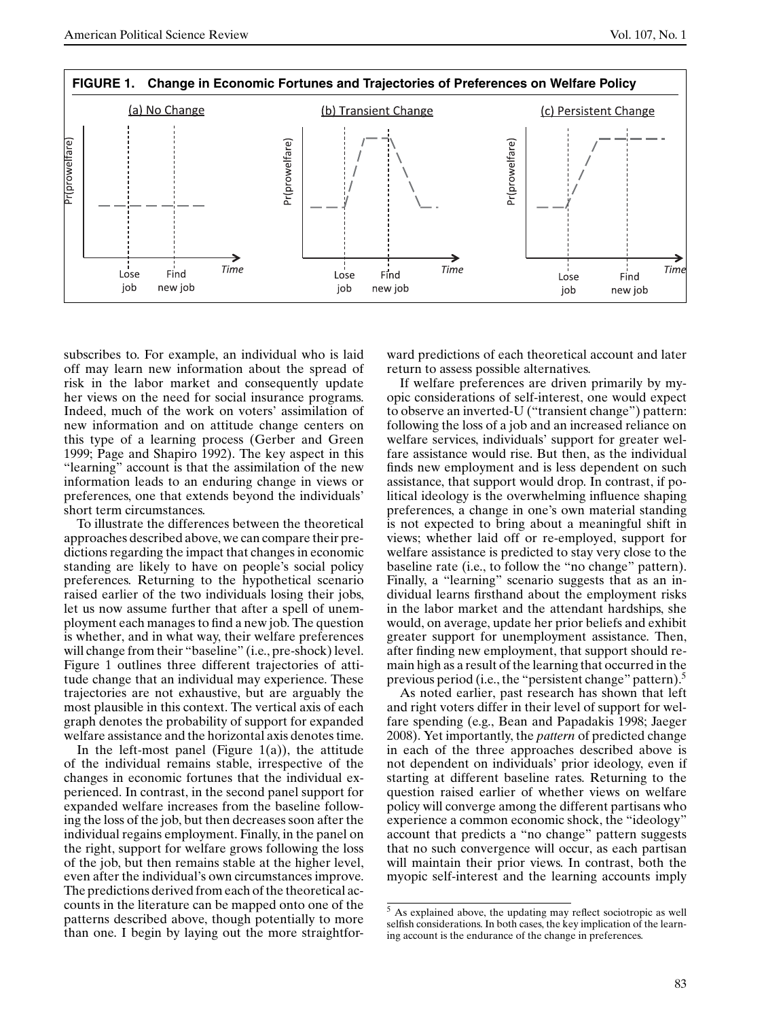

subscribes to. For example, an individual who is laid off may learn new information about the spread of risk in the labor market and consequently update her views on the need for social insurance programs. Indeed, much of the work on voters' assimilation of new information and on attitude change centers on this type of a learning process (Gerber and Green 1999; Page and Shapiro 1992). The key aspect in this "learning" account is that the assimilation of the new information leads to an enduring change in views or preferences, one that extends beyond the individuals' short term circumstances.

To illustrate the differences between the theoretical approaches described above, we can compare their predictions regarding the impact that changes in economic standing are likely to have on people's social policy preferences. Returning to the hypothetical scenario raised earlier of the two individuals losing their jobs, let us now assume further that after a spell of unemployment each manages to find a new job. The question is whether, and in what way, their welfare preferences will change from their "baseline" (i.e., pre-shock) level. Figure 1 outlines three different trajectories of attitude change that an individual may experience. These trajectories are not exhaustive, but are arguably the most plausible in this context. The vertical axis of each graph denotes the probability of support for expanded welfare assistance and the horizontal axis denotes time.

In the left-most panel (Figure  $1(a)$ ), the attitude of the individual remains stable, irrespective of the changes in economic fortunes that the individual experienced. In contrast, in the second panel support for expanded welfare increases from the baseline following the loss of the job, but then decreases soon after the individual regains employment. Finally, in the panel on the right, support for welfare grows following the loss of the job, but then remains stable at the higher level, even after the individual's own circumstances improve. The predictions derived from each of the theoretical accounts in the literature can be mapped onto one of the patterns described above, though potentially to more than one. I begin by laying out the more straightforward predictions of each theoretical account and later return to assess possible alternatives.

If welfare preferences are driven primarily by myopic considerations of self-interest, one would expect to observe an inverted-U ("transient change") pattern: following the loss of a job and an increased reliance on welfare services, individuals' support for greater welfare assistance would rise. But then, as the individual finds new employment and is less dependent on such assistance, that support would drop. In contrast, if political ideology is the overwhelming influence shaping preferences, a change in one's own material standing is not expected to bring about a meaningful shift in views; whether laid off or re-employed, support for welfare assistance is predicted to stay very close to the baseline rate (i.e., to follow the "no change" pattern). Finally, a "learning" scenario suggests that as an individual learns firsthand about the employment risks in the labor market and the attendant hardships, she would, on average, update her prior beliefs and exhibit greater support for unemployment assistance. Then, after finding new employment, that support should remain high as a result of the learning that occurred in the previous period (i.e., the "persistent change" pattern).<sup>5</sup>

As noted earlier, past research has shown that left and right voters differ in their level of support for welfare spending (e.g., Bean and Papadakis 1998; Jaeger 2008). Yet importantly, the *pattern* of predicted change in each of the three approaches described above is not dependent on individuals' prior ideology, even if starting at different baseline rates. Returning to the question raised earlier of whether views on welfare policy will converge among the different partisans who experience a common economic shock, the "ideology" account that predicts a "no change" pattern suggests that no such convergence will occur, as each partisan will maintain their prior views. In contrast, both the myopic self-interest and the learning accounts imply

<sup>5</sup> As explained above, the updating may reflect sociotropic as well selfish considerations. In both cases, the key implication of the learning account is the endurance of the change in preferences.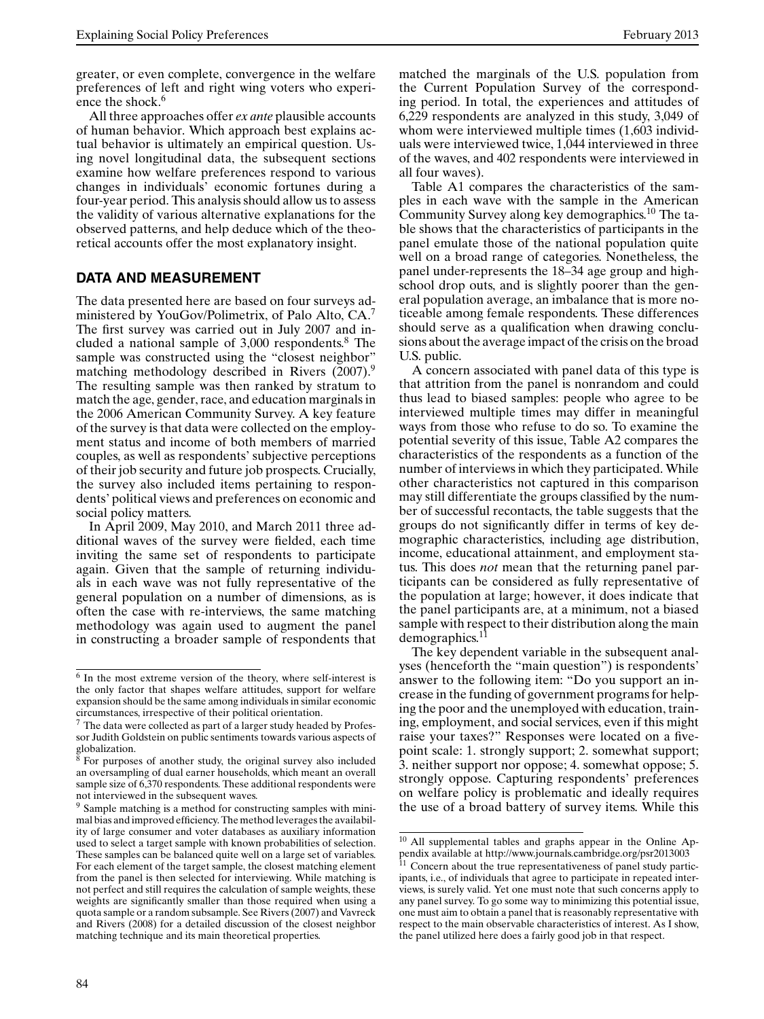greater, or even complete, convergence in the welfare preferences of left and right wing voters who experience the shock.<sup>6</sup>

All three approaches offer *ex ante* plausible accounts of human behavior. Which approach best explains actual behavior is ultimately an empirical question. Using novel longitudinal data, the subsequent sections examine how welfare preferences respond to various changes in individuals' economic fortunes during a four-year period. This analysis should allow us to assess the validity of various alternative explanations for the observed patterns, and help deduce which of the theoretical accounts offer the most explanatory insight.

# **DATA AND MEASUREMENT**

The data presented here are based on four surveys administered by YouGov/Polimetrix, of Palo Alto, CA.<sup>7</sup> The first survey was carried out in July 2007 and included a national sample of 3,000 respondents.<sup>8</sup> The sample was constructed using the "closest neighbor" matching methodology described in Rivers (2007).<sup>9</sup> The resulting sample was then ranked by stratum to match the age, gender, race, and education marginals in the 2006 American Community Survey. A key feature of the survey is that data were collected on the employment status and income of both members of married couples, as well as respondents' subjective perceptions of their job security and future job prospects. Crucially, the survey also included items pertaining to respondents' political views and preferences on economic and social policy matters.

In April 2009, May 2010, and March 2011 three additional waves of the survey were fielded, each time inviting the same set of respondents to participate again. Given that the sample of returning individuals in each wave was not fully representative of the general population on a number of dimensions, as is often the case with re-interviews, the same matching methodology was again used to augment the panel in constructing a broader sample of respondents that matched the marginals of the U.S. population from the Current Population Survey of the corresponding period. In total, the experiences and attitudes of 6,229 respondents are analyzed in this study, 3,049 of whom were interviewed multiple times  $(1,603)$  individuals were interviewed twice, 1,044 interviewed in three of the waves, and 402 respondents were interviewed in all four waves).

Table A1 compares the characteristics of the samples in each wave with the sample in the American Community Survey along key demographics.10 The table shows that the characteristics of participants in the panel emulate those of the national population quite well on a broad range of categories. Nonetheless, the panel under-represents the 18–34 age group and highschool drop outs, and is slightly poorer than the general population average, an imbalance that is more noticeable among female respondents. These differences should serve as a qualification when drawing conclusions about the average impact of the crisis on the broad U.S. public.

A concern associated with panel data of this type is that attrition from the panel is nonrandom and could thus lead to biased samples: people who agree to be interviewed multiple times may differ in meaningful ways from those who refuse to do so. To examine the potential severity of this issue, Table A2 compares the characteristics of the respondents as a function of the number of interviews in which they participated. While other characteristics not captured in this comparison may still differentiate the groups classified by the number of successful recontacts, the table suggests that the groups do not significantly differ in terms of key demographic characteristics, including age distribution, income, educational attainment, and employment status. This does *not* mean that the returning panel participants can be considered as fully representative of the population at large; however, it does indicate that the panel participants are, at a minimum, not a biased sample with respect to their distribution along the main demographics.<sup>11</sup>

The key dependent variable in the subsequent analyses (henceforth the "main question") is respondents' answer to the following item: "Do you support an increase in the funding of government programs for helping the poor and the unemployed with education, training, employment, and social services, even if this might raise your taxes?" Responses were located on a fivepoint scale: 1. strongly support; 2. somewhat support; 3. neither support nor oppose; 4. somewhat oppose; 5. strongly oppose. Capturing respondents' preferences on welfare policy is problematic and ideally requires the use of a broad battery of survey items. While this

<sup>6</sup> In the most extreme version of the theory, where self-interest is the only factor that shapes welfare attitudes, support for welfare expansion should be the same among individuals in similar economic circumstances, irrespective of their political orientation.

<sup>7</sup> The data were collected as part of a larger study headed by Professor Judith Goldstein on public sentiments towards various aspects of globalization.

<sup>8</sup> For purposes of another study, the original survey also included an oversampling of dual earner households, which meant an overall sample size of 6,370 respondents. These additional respondents were not interviewed in the subsequent waves.

<sup>&</sup>lt;sup>9</sup> Sample matching is a method for constructing samples with minimal bias and improved efficiency. The method leverages the availability of large consumer and voter databases as auxiliary information used to select a target sample with known probabilities of selection. These samples can be balanced quite well on a large set of variables. For each element of the target sample, the closest matching element from the panel is then selected for interviewing. While matching is not perfect and still requires the calculation of sample weights, these weights are significantly smaller than those required when using a quota sample or a random subsample. See Rivers (2007) and Vavreck and Rivers (2008) for a detailed discussion of the closest neighbor matching technique and its main theoretical properties.

<sup>10</sup> All supplemental tables and graphs appear in the Online Appendix available at http://www.journals.cambridge.org/psr2013003

 $11$  Concern about the true representativeness of panel study participants, i.e., of individuals that agree to participate in repeated interviews, is surely valid. Yet one must note that such concerns apply to any panel survey. To go some way to minimizing this potential issue, one must aim to obtain a panel that is reasonably representative with respect to the main observable characteristics of interest. As I show, the panel utilized here does a fairly good job in that respect.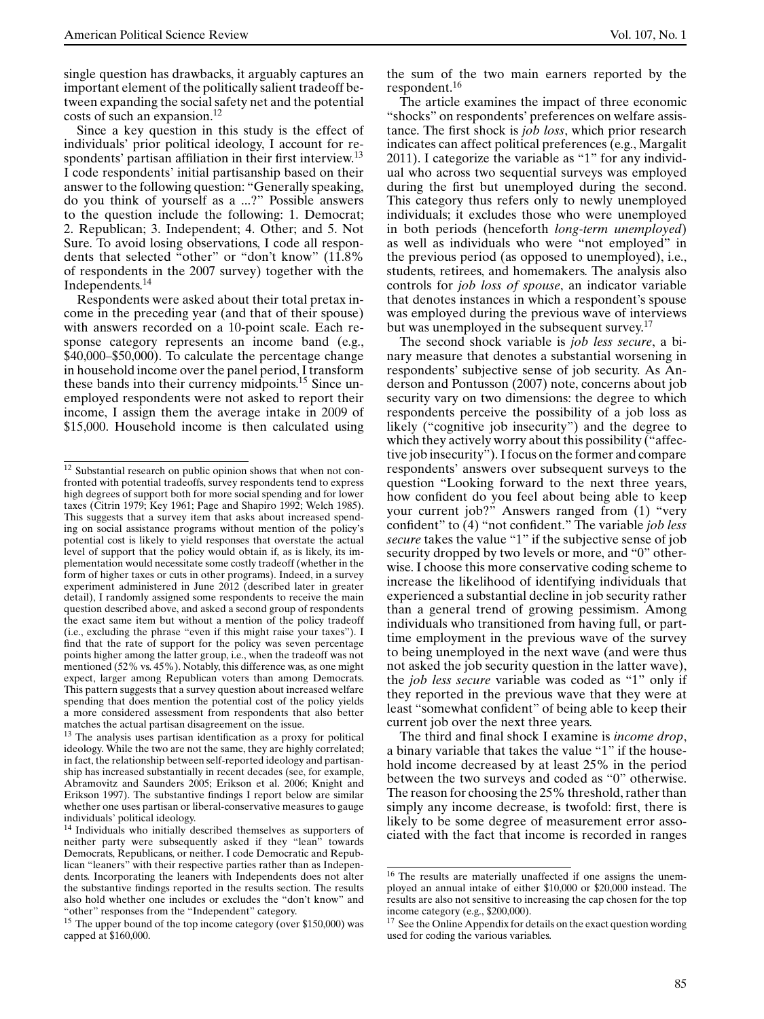single question has drawbacks, it arguably captures an important element of the politically salient tradeoff between expanding the social safety net and the potential costs of such an expansion.<sup>12</sup>

Since a key question in this study is the effect of individuals' prior political ideology, I account for respondents' partisan affiliation in their first interview.<sup>13</sup> I code respondents' initial partisanship based on their answer to the following question: "Generally speaking, do you think of yourself as a ...?" Possible answers to the question include the following: 1. Democrat; 2. Republican; 3. Independent; 4. Other; and 5. Not Sure. To avoid losing observations, I code all respondents that selected "other" or "don't know" (11.8% of respondents in the 2007 survey) together with the Independents.<sup>14</sup>

Respondents were asked about their total pretax income in the preceding year (and that of their spouse) with answers recorded on a 10-point scale. Each response category represents an income band (e.g., \$40,000–\$50,000). To calculate the percentage change in household income over the panel period, I transform these bands into their currency midpoints.<sup>15</sup> Since unemployed respondents were not asked to report their income, I assign them the average intake in 2009 of \$15,000. Household income is then calculated using

the sum of the two main earners reported by the respondent.<sup>16</sup>

The article examines the impact of three economic "shocks" on respondents' preferences on welfare assistance. The first shock is *job loss*, which prior research indicates can affect political preferences (e.g., Margalit 2011). I categorize the variable as "1" for any individual who across two sequential surveys was employed during the first but unemployed during the second. This category thus refers only to newly unemployed individuals; it excludes those who were unemployed in both periods (henceforth *long-term unemployed*) as well as individuals who were "not employed" in the previous period (as opposed to unemployed), i.e., students, retirees, and homemakers. The analysis also controls for *job loss of spouse*, an indicator variable that denotes instances in which a respondent's spouse was employed during the previous wave of interviews but was unemployed in the subsequent survey. $17$ 

The second shock variable is *job less secure*, a binary measure that denotes a substantial worsening in respondents' subjective sense of job security. As Anderson and Pontusson (2007) note, concerns about job security vary on two dimensions: the degree to which respondents perceive the possibility of a job loss as likely ("cognitive job insecurity") and the degree to which they actively worry about this possibility ("affective job insecurity"). I focus on the former and compare respondents' answers over subsequent surveys to the question "Looking forward to the next three years, how confident do you feel about being able to keep your current job?" Answers ranged from (1) "very confident" to (4) "not confident." The variable *job less secure* takes the value "1" if the subjective sense of job security dropped by two levels or more, and "0" otherwise. I choose this more conservative coding scheme to increase the likelihood of identifying individuals that experienced a substantial decline in job security rather than a general trend of growing pessimism. Among individuals who transitioned from having full, or parttime employment in the previous wave of the survey to being unemployed in the next wave (and were thus not asked the job security question in the latter wave), the *job less secure* variable was coded as "1" only if they reported in the previous wave that they were at least "somewhat confident" of being able to keep their current job over the next three years.

The third and final shock I examine is *income drop*, a binary variable that takes the value "1" if the household income decreased by at least 25% in the period between the two surveys and coded as "0" otherwise. The reason for choosing the 25% threshold, rather than simply any income decrease, is twofold: first, there is likely to be some degree of measurement error associated with the fact that income is recorded in ranges

<sup>12</sup> Substantial research on public opinion shows that when not confronted with potential tradeoffs, survey respondents tend to express high degrees of support both for more social spending and for lower taxes (Citrin 1979; Key 1961; Page and Shapiro 1992; Welch 1985). This suggests that a survey item that asks about increased spending on social assistance programs without mention of the policy's potential cost is likely to yield responses that overstate the actual level of support that the policy would obtain if, as is likely, its implementation would necessitate some costly tradeoff (whether in the form of higher taxes or cuts in other programs). Indeed, in a survey experiment administered in June 2012 (described later in greater detail), I randomly assigned some respondents to receive the main question described above, and asked a second group of respondents the exact same item but without a mention of the policy tradeoff (i.e., excluding the phrase "even if this might raise your taxes"). I find that the rate of support for the policy was seven percentage points higher among the latter group, i.e., when the tradeoff was not mentioned (52% vs. 45%). Notably, this difference was, as one might expect, larger among Republican voters than among Democrats. This pattern suggests that a survey question about increased welfare spending that does mention the potential cost of the policy yields a more considered assessment from respondents that also better matches the actual partisan disagreement on the issue.

<sup>&</sup>lt;sup>13</sup> The analysis uses partisan identification as a proxy for political ideology. While the two are not the same, they are highly correlated; in fact, the relationship between self-reported ideology and partisanship has increased substantially in recent decades (see, for example, Abramovitz and Saunders 2005; Erikson et al. 2006; Knight and Erikson 1997). The substantive findings I report below are similar whether one uses partisan or liberal-conservative measures to gauge individuals' political ideology.

<sup>14</sup> Individuals who initially described themselves as supporters of neither party were subsequently asked if they "lean" towards Democrats, Republicans, or neither. I code Democratic and Republican "leaners" with their respective parties rather than as Independents. Incorporating the leaners with Independents does not alter the substantive findings reported in the results section. The results also hold whether one includes or excludes the "don't know" and "other" responses from the "Independent" category.

<sup>&</sup>lt;sup>15</sup> The upper bound of the top income category (over \$150,000) was capped at \$160,000.

<sup>16</sup> The results are materially unaffected if one assigns the unemployed an annual intake of either \$10,000 or \$20,000 instead. The results are also not sensitive to increasing the cap chosen for the top income category (e.g., \$200,000).

 $17$  See the Online Appendix for details on the exact question wording used for coding the various variables.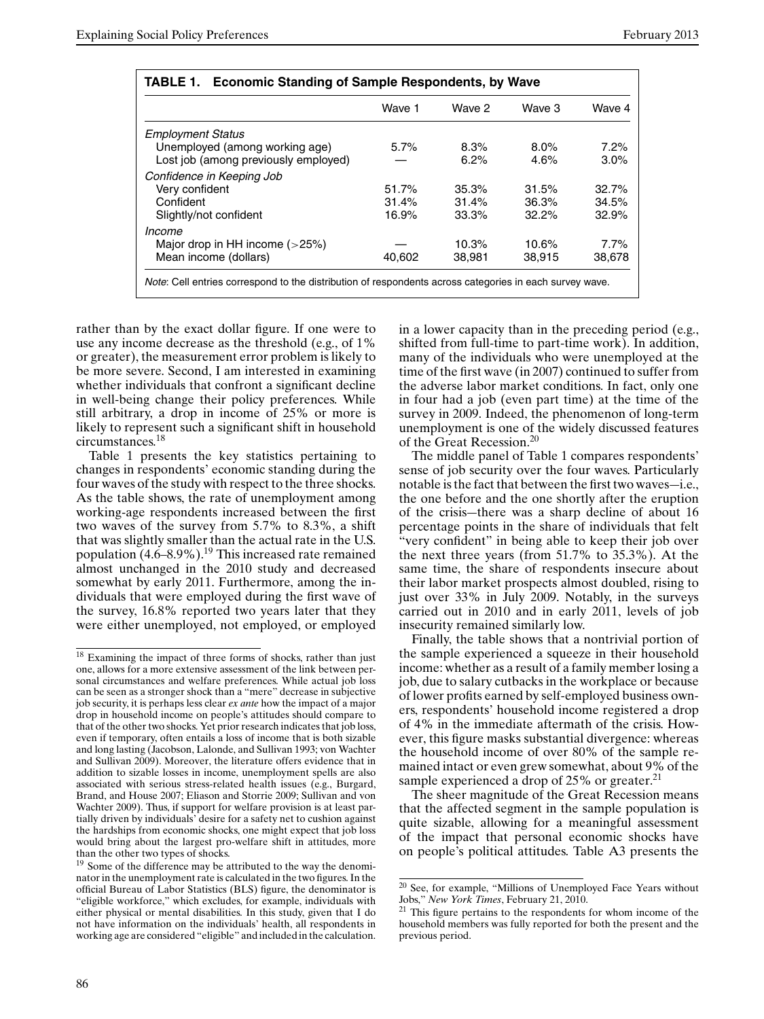|                                      | Wave 1 | Wave 2 | Wave 3 | Wave 4 |
|--------------------------------------|--------|--------|--------|--------|
| <b>Employment Status</b>             |        |        |        |        |
| Unemployed (among working age)       | 5.7%   | 8.3%   | 8.0%   | 7.2%   |
| Lost job (among previously employed) |        | 6.2%   | 4.6%   | 3.0%   |
| Confidence in Keeping Job            |        |        |        |        |
| Very confident                       | 51.7%  | 35.3%  | 31.5%  | 32.7%  |
| Confident                            | 31.4%  | 31.4%  | 36.3%  | 34.5%  |
| Slightly/not confident               | 16.9%  | 33.3%  | 32.2%  | 32.9%  |
| Income                               |        |        |        |        |
| Major drop in HH income $(>25%)$     |        | 10.3%  | 10.6%  | 7.7%   |
| Mean income (dollars)                | 40.602 | 38,981 | 38.915 | 38.678 |

rather than by the exact dollar figure. If one were to use any income decrease as the threshold (e.g., of 1% or greater), the measurement error problem is likely to be more severe. Second, I am interested in examining whether individuals that confront a significant decline in well-being change their policy preferences. While still arbitrary, a drop in income of 25% or more is likely to represent such a significant shift in household circumstances.<sup>18</sup>

Table 1 presents the key statistics pertaining to changes in respondents' economic standing during the four waves of the study with respect to the three shocks. As the table shows, the rate of unemployment among working-age respondents increased between the first two waves of the survey from 5.7% to 8.3%, a shift that was slightly smaller than the actual rate in the U.S. population  $(4.6–8.9\%)$ .<sup>19</sup> This increased rate remained almost unchanged in the 2010 study and decreased somewhat by early 2011. Furthermore, among the individuals that were employed during the first wave of the survey, 16.8% reported two years later that they were either unemployed, not employed, or employed in a lower capacity than in the preceding period (e.g., shifted from full-time to part-time work). In addition, many of the individuals who were unemployed at the time of the first wave (in 2007) continued to suffer from the adverse labor market conditions. In fact, only one in four had a job (even part time) at the time of the survey in 2009. Indeed, the phenomenon of long-term unemployment is one of the widely discussed features of the Great Recession.<sup>20</sup>

The middle panel of Table 1 compares respondents' sense of job security over the four waves. Particularly notable is the fact that between the first two waves—i.e., the one before and the one shortly after the eruption of the crisis—there was a sharp decline of about 16 percentage points in the share of individuals that felt "very confident" in being able to keep their job over the next three years (from 51.7% to 35.3%). At the same time, the share of respondents insecure about their labor market prospects almost doubled, rising to just over 33% in July 2009. Notably, in the surveys carried out in 2010 and in early 2011, levels of job insecurity remained similarly low.

Finally, the table shows that a nontrivial portion of the sample experienced a squeeze in their household income: whether as a result of a family member losing a job, due to salary cutbacks in the workplace or because of lower profits earned by self-employed business owners, respondents' household income registered a drop of 4% in the immediate aftermath of the crisis. However, this figure masks substantial divergence: whereas the household income of over 80% of the sample remained intact or even grew somewhat, about 9% of the sample experienced a drop of 25% or greater.<sup>21</sup>

The sheer magnitude of the Great Recession means that the affected segment in the sample population is quite sizable, allowing for a meaningful assessment of the impact that personal economic shocks have on people's political attitudes. Table A3 presents the

<sup>18</sup> Examining the impact of three forms of shocks, rather than just one, allows for a more extensive assessment of the link between personal circumstances and welfare preferences. While actual job loss can be seen as a stronger shock than a "mere" decrease in subjective job security, it is perhaps less clear *ex ante* how the impact of a major drop in household income on people's attitudes should compare to that of the other two shocks. Yet prior research indicates that job loss, even if temporary, often entails a loss of income that is both sizable and long lasting (Jacobson, Lalonde, and Sullivan 1993; von Wachter and Sullivan 2009). Moreover, the literature offers evidence that in addition to sizable losses in income, unemployment spells are also associated with serious stress-related health issues (e.g., Burgard, Brand, and House 2007; Eliason and Storrie 2009; Sullivan and von Wachter 2009). Thus, if support for welfare provision is at least partially driven by individuals' desire for a safety net to cushion against the hardships from economic shocks, one might expect that job loss would bring about the largest pro-welfare shift in attitudes, more than the other two types of shocks.

<sup>&</sup>lt;sup>19</sup> Some of the difference may be attributed to the way the denominator in the unemployment rate is calculated in the two figures. In the official Bureau of Labor Statistics (BLS) figure, the denominator is "eligible workforce," which excludes, for example, individuals with either physical or mental disabilities. In this study, given that I do not have information on the individuals' health, all respondents in working age are considered "eligible" and included in the calculation.

<sup>20</sup> See, for example, "Millions of Unemployed Face Years without Jobs," *New York Times*, February 21, 2010.

<sup>21</sup> This figure pertains to the respondents for whom income of the household members was fully reported for both the present and the previous period.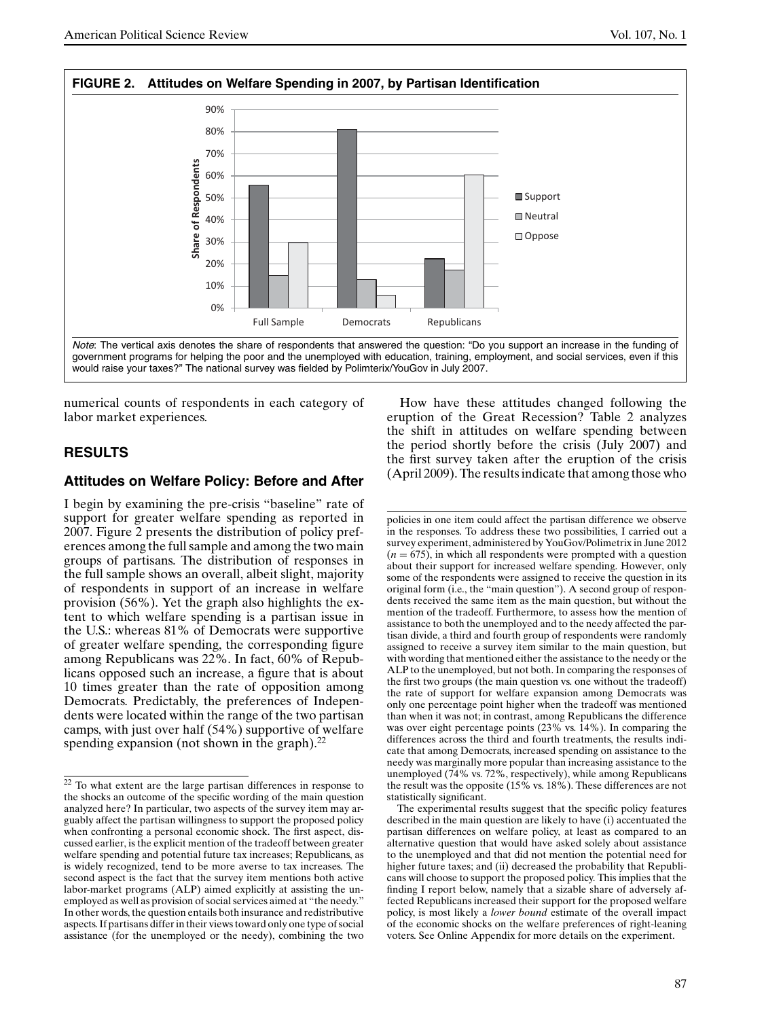

numerical counts of respondents in each category of labor market experiences.

# **RESULTS**

### **Attitudes on Welfare Policy: Before and After**

I begin by examining the pre-crisis "baseline" rate of support for greater welfare spending as reported in 2007. Figure 2 presents the distribution of policy preferences among the full sample and among the two main groups of partisans. The distribution of responses in the full sample shows an overall, albeit slight, majority of respondents in support of an increase in welfare provision (56%). Yet the graph also highlights the extent to which welfare spending is a partisan issue in the U.S.: whereas 81% of Democrats were supportive of greater welfare spending, the corresponding figure among Republicans was 22%. In fact, 60% of Republicans opposed such an increase, a figure that is about 10 times greater than the rate of opposition among Democrats. Predictably, the preferences of Independents were located within the range of the two partisan camps, with just over half (54%) supportive of welfare spending expansion (not shown in the graph). $^{22}$ 

How have these attitudes changed following the eruption of the Great Recession? Table 2 analyzes the shift in attitudes on welfare spending between the period shortly before the crisis (July 2007) and the first survey taken after the eruption of the crisis (April 2009). The results indicate that among those who

policies in one item could affect the partisan difference we observe in the responses. To address these two possibilities, I carried out a survey experiment, administered by YouGov/Polimetrix in June 2012  $(n = 675)$ , in which all respondents were prompted with a question about their support for increased welfare spending. However, only some of the respondents were assigned to receive the question in its original form (i.e., the "main question"). A second group of respondents received the same item as the main question, but without the mention of the tradeoff. Furthermore, to assess how the mention of assistance to both the unemployed and to the needy affected the partisan divide, a third and fourth group of respondents were randomly assigned to receive a survey item similar to the main question, but with wording that mentioned either the assistance to the needy or the ALP to the unemployed, but not both. In comparing the responses of the first two groups (the main question vs. one without the tradeoff) the rate of support for welfare expansion among Democrats was only one percentage point higher when the tradeoff was mentioned than when it was not; in contrast, among Republicans the difference was over eight percentage points (23% vs. 14%). In comparing the differences across the third and fourth treatments, the results indicate that among Democrats, increased spending on assistance to the needy was marginally more popular than increasing assistance to the unemployed (74% vs. 72%, respectively), while among Republicans the result was the opposite (15% vs. 18%). These differences are not statistically significant.

The experimental results suggest that the specific policy features described in the main question are likely to have (i) accentuated the partisan differences on welfare policy, at least as compared to an alternative question that would have asked solely about assistance to the unemployed and that did not mention the potential need for higher future taxes; and (ii) decreased the probability that Republicans will choose to support the proposed policy. This implies that the finding I report below, namely that a sizable share of adversely affected Republicans increased their support for the proposed welfare policy, is most likely a *lower bound* estimate of the overall impact of the economic shocks on the welfare preferences of right-leaning voters. See Online Appendix for more details on the experiment.

<sup>22</sup> To what extent are the large partisan differences in response to the shocks an outcome of the specific wording of the main question analyzed here? In particular, two aspects of the survey item may arguably affect the partisan willingness to support the proposed policy when confronting a personal economic shock. The first aspect, discussed earlier, is the explicit mention of the tradeoff between greater welfare spending and potential future tax increases; Republicans, as is widely recognized, tend to be more averse to tax increases. The second aspect is the fact that the survey item mentions both active labor-market programs (ALP) aimed explicitly at assisting the unemployed as well as provision of social services aimed at "the needy." In other words, the question entails both insurance and redistributive aspects. If partisans differ in their views toward only one type of social assistance (for the unemployed or the needy), combining the two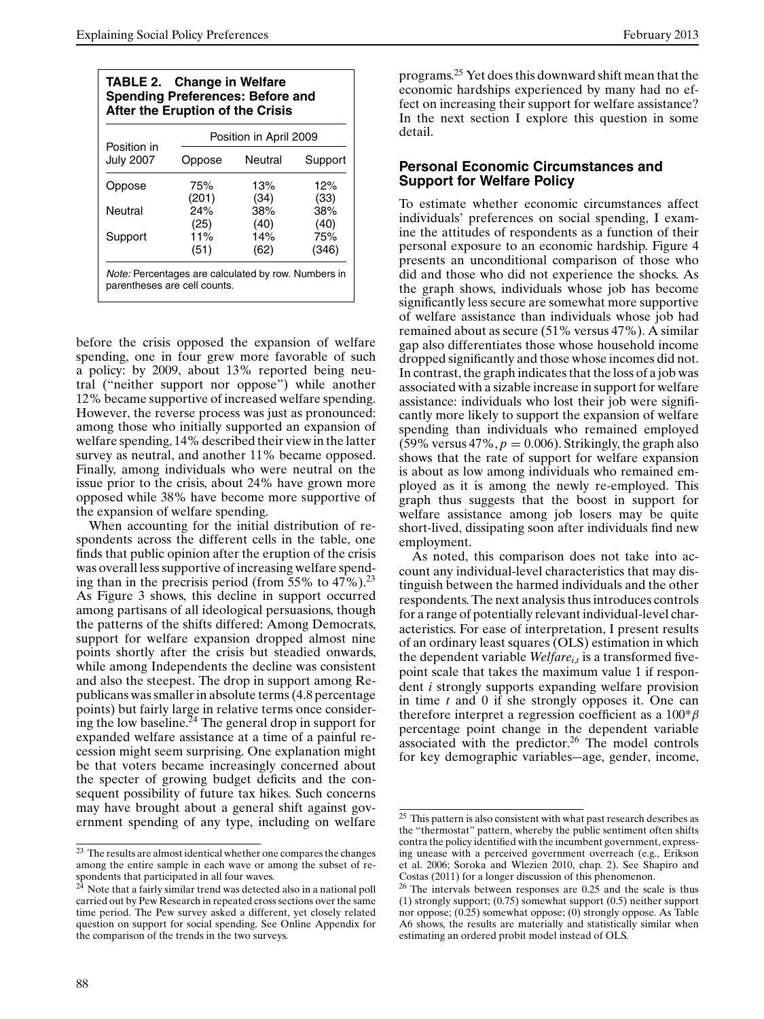### **TABLE 2. Change in Welfare Spending Preferences: Before and After the Eruption of the Crisis**

| Position in      |        | Position in April 2009 |         |  |  |  |  |
|------------------|--------|------------------------|---------|--|--|--|--|
| <b>July 2007</b> | Oppose | Neutral                | Support |  |  |  |  |
| Oppose           | 75%    | 13%                    | 12%     |  |  |  |  |
|                  | (201)  | (34)                   | (33)    |  |  |  |  |
| Neutral          | 24%    | 38%                    | 38%     |  |  |  |  |
|                  | (25)   | (40)                   | (40)    |  |  |  |  |
| Support          | 11%    | 14%                    | 75%     |  |  |  |  |
|                  | (51)   | (62)                   | (346)   |  |  |  |  |

before the crisis opposed the expansion of welfare spending, one in four grew more favorable of such a policy: by 2009, about 13% reported being neutral ("neither support nor oppose") while another 12% became supportive of increased welfare spending. However, the reverse process was just as pronounced: among those who initially supported an expansion of welfare spending, 14% described their view in the latter survey as neutral, and another 11% became opposed. Finally, among individuals who were neutral on the issue prior to the crisis, about 24% have grown more opposed while 38% have become more supportive of the expansion of welfare spending.

When accounting for the initial distribution of respondents across the different cells in the table, one finds that public opinion after the eruption of the crisis was overall less supportive of increasing welfare spending than in the precrisis period (from 55% to 47%).23 As Figure 3 shows, this decline in support occurred among partisans of all ideological persuasions, though the patterns of the shifts differed: Among Democrats, support for welfare expansion dropped almost nine points shortly after the crisis but steadied onwards, while among Independents the decline was consistent and also the steepest. The drop in support among Republicans was smaller in absolute terms (4.8 percentage points) but fairly large in relative terms once considering the low baseline.<sup>24</sup> The general drop in support for expanded welfare assistance at a time of a painful recession might seem surprising. One explanation might be that voters became increasingly concerned about the specter of growing budget deficits and the consequent possibility of future tax hikes. Such concerns may have brought about a general shift against government spending of any type, including on welfare programs.25 Yet does this downward shift mean that the economic hardships experienced by many had no effect on increasing their support for welfare assistance? In the next section I explore this question in some detail.

# **Personal Economic Circumstances and Support for Welfare Policy**

To estimate whether economic circumstances affect individuals' preferences on social spending, I examine the attitudes of respondents as a function of their personal exposure to an economic hardship. Figure 4 presents an unconditional comparison of those who did and those who did not experience the shocks. As the graph shows, individuals whose job has become significantly less secure are somewhat more supportive of welfare assistance than individuals whose job had remained about as secure (51% versus 47%). A similar gap also differentiates those whose household income dropped significantly and those whose incomes did not. In contrast, the graph indicates that the loss of a job was associated with a sizable increase in support for welfare assistance: individuals who lost their job were significantly more likely to support the expansion of welfare spending than individuals who remained employed (59% versus 47%,  $p = 0.006$ ). Strikingly, the graph also shows that the rate of support for welfare expansion is about as low among individuals who remained employed as it is among the newly re-employed. This graph thus suggests that the boost in support for welfare assistance among job losers may be quite short-lived, dissipating soon after individuals find new employment.

As noted, this comparison does not take into account any individual-level characteristics that may distinguish between the harmed individuals and the other respondents. The next analysis thus introduces controls for a range of potentially relevant individual-level characteristics. For ease of interpretation, I present results of an ordinary least squares (OLS) estimation in which the dependent variable *Welfarei*,*<sup>t</sup>* is a transformed fivepoint scale that takes the maximum value 1 if respondent *i* strongly supports expanding welfare provision in time *t* and 0 if she strongly opposes it. One can therefore interpret a regression coefficient as a  $100^* \beta$ percentage point change in the dependent variable associated with the predictor. $26$  The model controls for key demographic variables—age, gender, income,

<sup>&</sup>lt;sup>23</sup> The results are almost identical whether one compares the changes among the entire sample in each wave or among the subset of respondents that participated in all four waves.

<sup>&</sup>lt;sup>24</sup> Note that a fairly similar trend was detected also in a national poll carried out by Pew Research in repeated cross sections over the same time period. The Pew survey asked a different, yet closely related question on support for social spending. See Online Appendix for the comparison of the trends in the two surveys.

<sup>&</sup>lt;sup>25</sup> This pattern is also consistent with what past research describes as the "thermostat" pattern, whereby the public sentiment often shifts contra the policy identified with the incumbent government, expressing unease with a perceived government overreach (e.g., Erikson et al. 2006; Soroka and Wlezien 2010, chap. 2). See Shapiro and Costas (2011) for a longer discussion of this phenomenon.

<sup>26</sup> The intervals between responses are 0.25 and the scale is thus (1) strongly support; (0.75) somewhat support (0.5) neither support nor oppose; (0.25) somewhat oppose; (0) strongly oppose. As Table A6 shows, the results are materially and statistically similar when estimating an ordered probit model instead of OLS.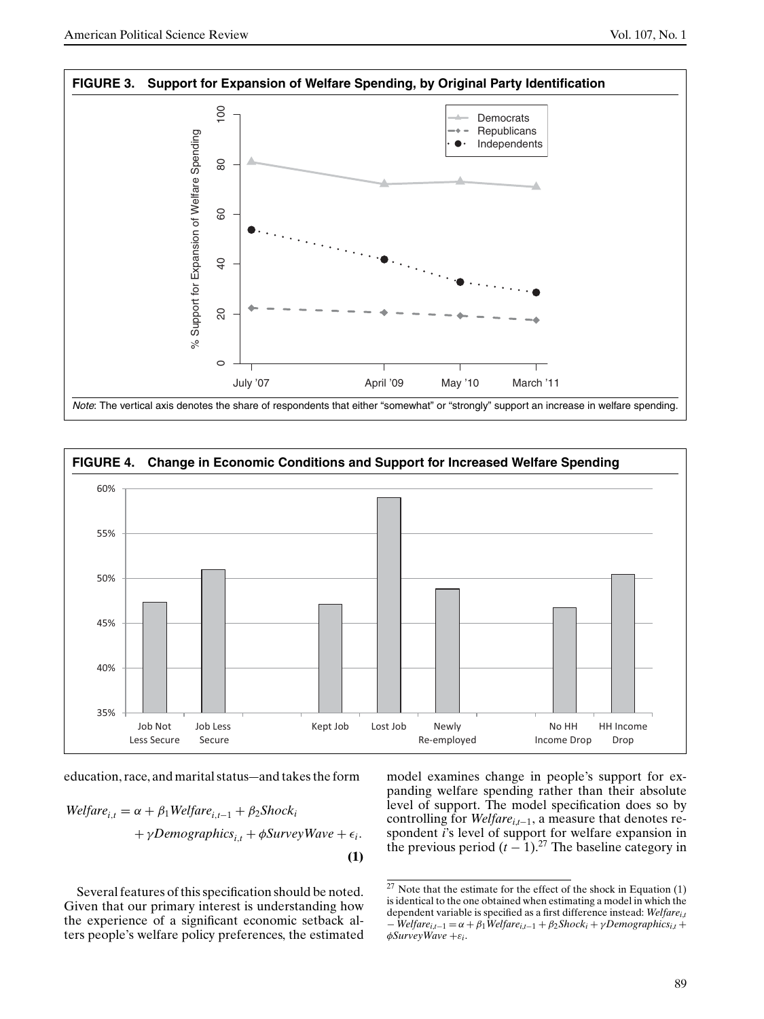



education, race, and marital status—and takes the form

$$
Weltare_{i,t} = \alpha + \beta_1 Weltare_{i,t-1} + \beta_2 Shock_i
$$
  
+  $\gamma Demographics_{i,t} + \phi SurveyWave + \epsilon_i$ . (1)

Several features of this specification should be noted. Given that our primary interest is understanding how the experience of a significant economic setback alters people's welfare policy preferences, the estimated model examines change in people's support for expanding welfare spending rather than their absolute level of support. The model specification does so by controlling for *Welfarei*,*t*−1, a measure that denotes respondent *i*'s level of support for welfare expansion in the previous period  $(t-1)$ <sup>27</sup>. The baseline category in

 $27$  Note that the estimate for the effect of the shock in Equation (1) is identical to the one obtained when estimating a model in which the dependent variable is specified as a first difference instead: *Welfarei*,*<sup>t</sup>*  $-VQ = W$ *- Welfare*<sub>*i*,*t*-1</sub> =  $\alpha + \beta_1 W$ *elfare*<sub>*i*,*t*-1</sub> +  $\beta_2$ *Shock*<sub>*i*</sub> +  $\gamma$ *Demographics*<sub>*i*,t</sub> + φ*SurveyWave* +ε*i*.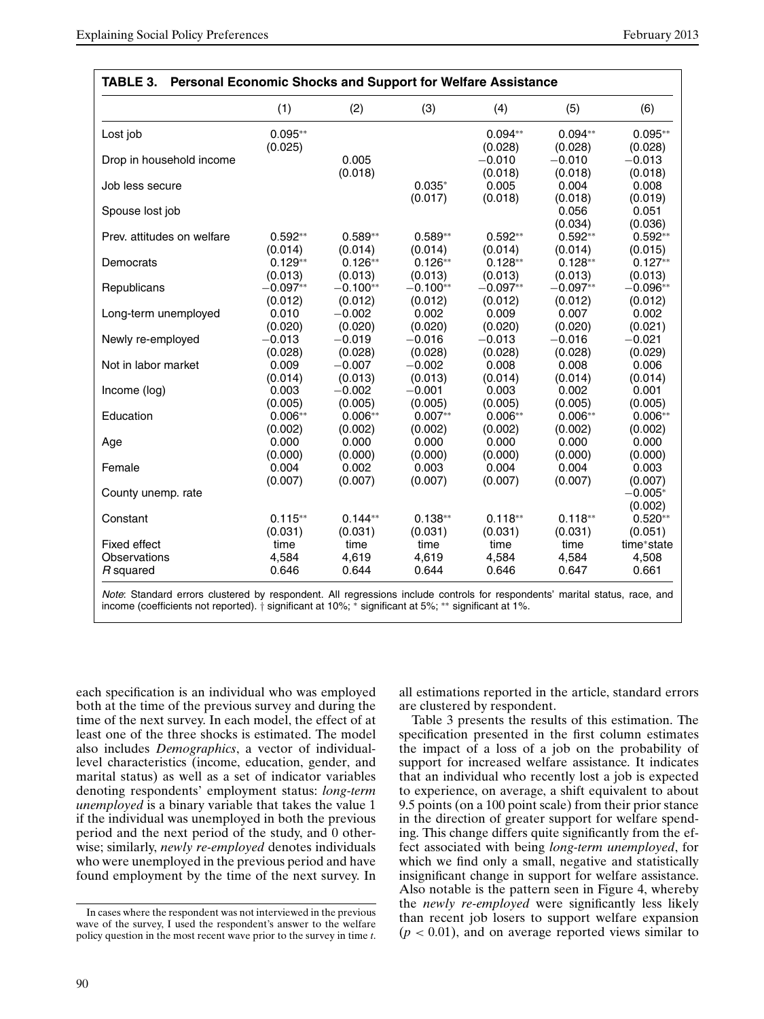|                            | (1)        | (2)        | (3)        | (4)        | (5)        | (6)        |
|----------------------------|------------|------------|------------|------------|------------|------------|
| Lost job                   | $0.095**$  |            |            | $0.094**$  | $0.094**$  | $0.095**$  |
|                            | (0.025)    |            |            | (0.028)    | (0.028)    | (0.028)    |
| Drop in household income   |            | 0.005      |            | $-0.010$   | $-0.010$   | $-0.013$   |
|                            |            | (0.018)    |            | (0.018)    | (0.018)    | (0.018)    |
| Job less secure            |            |            | $0.035*$   | 0.005      | 0.004      | 0.008      |
|                            |            |            | (0.017)    | (0.018)    | (0.018)    | (0.019)    |
| Spouse lost job            |            |            |            |            | 0.056      | 0.051      |
|                            |            |            |            |            | (0.034)    | (0.036)    |
| Prev. attitudes on welfare | $0.592**$  | $0.589**$  | $0.589**$  | $0.592**$  | $0.592**$  | $0.592**$  |
|                            | (0.014)    | (0.014)    | (0.014)    | (0.014)    | (0.014)    | (0.015)    |
| Democrats                  | $0.129**$  | $0.126**$  | $0.126**$  | $0.128**$  | $0.128**$  | $0.127**$  |
|                            | (0.013)    | (0.013)    | (0.013)    | (0.013)    | (0.013)    | (0.013)    |
| Republicans                | $-0.097**$ | $-0.100**$ | $-0.100**$ | $-0.097**$ | $-0.097**$ | $-0.096**$ |
|                            | (0.012)    | (0.012)    | (0.012)    | (0.012)    | (0.012)    | (0.012)    |
| Long-term unemployed       | 0.010      | $-0.002$   | 0.002      | 0.009      | 0.007      | 0.002      |
|                            | (0.020)    | (0.020)    | (0.020)    | (0.020)    | (0.020)    | (0.021)    |
| Newly re-employed          | $-0.013$   | $-0.019$   | $-0.016$   | $-0.013$   | $-0.016$   | $-0.021$   |
|                            | (0.028)    | (0.028)    | (0.028)    | (0.028)    | (0.028)    | (0.029)    |
| Not in labor market        | 0.009      | $-0.007$   | $-0.002$   | 0.008      | 0.008      | 0.006      |
|                            | (0.014)    | (0.013)    | (0.013)    | (0.014)    | (0.014)    | (0.014)    |
| Income (log)               | 0.003      | $-0.002$   | $-0.001$   | 0.003      | 0.002      | 0.001      |
|                            | (0.005)    | (0.005)    | (0.005)    | (0.005)    | (0.005)    | (0.005)    |
| Education                  | $0.006**$  | $0.006**$  | $0.007**$  | $0.006**$  | $0.006**$  | $0.006**$  |
|                            | (0.002)    | (0.002)    | (0.002)    | (0.002)    | (0.002)    | (0.002)    |
| Age                        | 0.000      | 0.000      | 0.000      | 0.000      | 0.000      | 0.000      |
|                            | (0.000)    | (0.000)    | (0.000)    | (0.000)    | (0.000)    | (0.000)    |
| Female                     | 0.004      | 0.002      | 0.003      | 0.004      | 0.004      | 0.003      |
|                            | (0.007)    | (0.007)    | (0.007)    | (0.007)    | (0.007)    | (0.007)    |
| County unemp. rate         |            |            |            |            |            | $-0.005*$  |
|                            |            |            |            |            |            | (0.002)    |
| Constant                   | $0.115**$  | $0.144**$  | $0.138**$  | $0.118**$  | $0.118**$  | $0.520**$  |
|                            | (0.031)    | (0.031)    | (0.031)    | (0.031)    | (0.031)    | (0.051)    |
| <b>Fixed effect</b>        | time       | time       | time       | time       | time       | time*state |
| Observations               | 4,584      | 4,619      | 4,619      | 4,584      | 4,584      | 4,508      |
| R squared                  | 0.646      | 0.644      | 0.644      | 0.646      | 0.647      | 0.661      |

# **TABLE 3. Personal Economic Shocks and Support for Welfare Assistance**

each specification is an individual who was employed both at the time of the previous survey and during the time of the next survey. In each model, the effect of at least one of the three shocks is estimated. The model also includes *Demographics*, a vector of individuallevel characteristics (income, education, gender, and marital status) as well as a set of indicator variables denoting respondents' employment status: *long-term unemployed* is a binary variable that takes the value 1 if the individual was unemployed in both the previous period and the next period of the study, and 0 otherwise; similarly, *newly re-employed* denotes individuals who were unemployed in the previous period and have found employment by the time of the next survey. In

all estimations reported in the article, standard errors are clustered by respondent.

Table 3 presents the results of this estimation. The specification presented in the first column estimates the impact of a loss of a job on the probability of support for increased welfare assistance. It indicates that an individual who recently lost a job is expected to experience, on average, a shift equivalent to about 9.5 points (on a 100 point scale) from their prior stance in the direction of greater support for welfare spending. This change differs quite significantly from the effect associated with being *long-term unemployed*, for which we find only a small, negative and statistically insignificant change in support for welfare assistance. Also notable is the pattern seen in Figure 4, whereby the *newly re-employed* were significantly less likely than recent job losers to support welfare expansion  $(p < 0.01)$ , and on average reported views similar to

In cases where the respondent was not interviewed in the previous wave of the survey, I used the respondent's answer to the welfare policy question in the most recent wave prior to the survey in time *t*.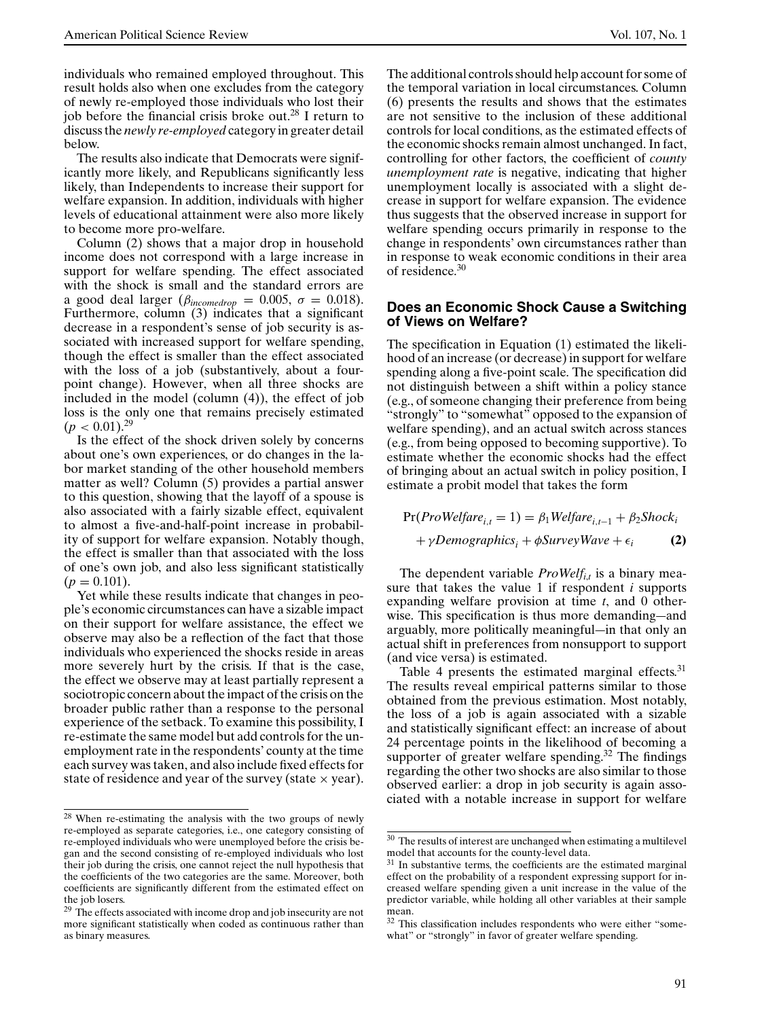individuals who remained employed throughout. This result holds also when one excludes from the category of newly re-employed those individuals who lost their job before the financial crisis broke out.<sup>28</sup> I return to discuss the *newly re-employed* category in greater detail below.

The results also indicate that Democrats were significantly more likely, and Republicans significantly less likely, than Independents to increase their support for welfare expansion. In addition, individuals with higher levels of educational attainment were also more likely to become more pro-welfare.

Column (2) shows that a major drop in household income does not correspond with a large increase in support for welfare spending. The effect associated with the shock is small and the standard errors are a good deal larger ( $\beta_{incomedrop} = 0.005$ ,  $\sigma = 0.018$ ). Furthermore, column (3) indicates that a significant decrease in a respondent's sense of job security is associated with increased support for welfare spending, though the effect is smaller than the effect associated with the loss of a job (substantively, about a fourpoint change). However, when all three shocks are included in the model (column (4)), the effect of job loss is the only one that remains precisely estimated  $(p < 0.01).^{29}$ 

Is the effect of the shock driven solely by concerns about one's own experiences, or do changes in the labor market standing of the other household members matter as well? Column (5) provides a partial answer to this question, showing that the layoff of a spouse is also associated with a fairly sizable effect, equivalent to almost a five-and-half-point increase in probability of support for welfare expansion. Notably though, the effect is smaller than that associated with the loss of one's own job, and also less significant statistically  $(p = 0.101)$ .

Yet while these results indicate that changes in people's economic circumstances can have a sizable impact on their support for welfare assistance, the effect we observe may also be a reflection of the fact that those individuals who experienced the shocks reside in areas more severely hurt by the crisis. If that is the case, the effect we observe may at least partially represent a sociotropic concern about the impact of the crisis on the broader public rather than a response to the personal experience of the setback. To examine this possibility, I re-estimate the same model but add controls for the unemployment rate in the respondents' county at the time each survey was taken, and also include fixed effects for state of residence and year of the survey (state  $\times$  year).

The additional controls should help account for some of the temporal variation in local circumstances. Column (6) presents the results and shows that the estimates are not sensitive to the inclusion of these additional controls for local conditions, as the estimated effects of the economic shocks remain almost unchanged. In fact, controlling for other factors, the coefficient of *county unemployment rate* is negative, indicating that higher unemployment locally is associated with a slight decrease in support for welfare expansion. The evidence thus suggests that the observed increase in support for welfare spending occurs primarily in response to the change in respondents' own circumstances rather than in response to weak economic conditions in their area of residence.<sup>30</sup>

### **Does an Economic Shock Cause a Switching of Views on Welfare?**

The specification in Equation (1) estimated the likelihood of an increase (or decrease) in support for welfare spending along a five-point scale. The specification did not distinguish between a shift within a policy stance (e.g., of someone changing their preference from being "strongly" to "somewhat" opposed to the expansion of welfare spending), and an actual switch across stances (e.g., from being opposed to becoming supportive). To estimate whether the economic shocks had the effect of bringing about an actual switch in policy position, I estimate a probit model that takes the form

 $Pr(Prou^\prime, t = 1) = \beta_1 Wel \frac{f}{f}$  $+ \gamma$ *Demographics*<sub>*i*</sub> +  $\phi$ *SurveyWave* +  $\epsilon$ <sup>*i*</sup> (2)

The dependent variable *ProWelfi*,*<sup>t</sup>* is a binary measure that takes the value 1 if respondent *i* supports expanding welfare provision at time *t*, and 0 otherwise. This specification is thus more demanding—and arguably, more politically meaningful—in that only an actual shift in preferences from nonsupport to support (and vice versa) is estimated.

Table 4 presents the estimated marginal effects. $31$ The results reveal empirical patterns similar to those obtained from the previous estimation. Most notably, the loss of a job is again associated with a sizable and statistically significant effect: an increase of about 24 percentage points in the likelihood of becoming a supporter of greater welfare spending. $32$  The findings regarding the other two shocks are also similar to those observed earlier: a drop in job security is again associated with a notable increase in support for welfare

<sup>28</sup> When re-estimating the analysis with the two groups of newly re-employed as separate categories, i.e., one category consisting of re-employed individuals who were unemployed before the crisis began and the second consisting of re-employed individuals who lost their job during the crisis, one cannot reject the null hypothesis that the coefficients of the two categories are the same. Moreover, both coefficients are significantly different from the estimated effect on the job losers.

<sup>&</sup>lt;sup>29</sup> The effects associated with income drop and job insecurity are not more significant statistically when coded as continuous rather than as binary measures.

 $^{30}$  The results of interest are unchanged when estimating a multilevel model that accounts for the county-level data.

 $31$  In substantive terms, the coefficients are the estimated marginal effect on the probability of a respondent expressing support for increased welfare spending given a unit increase in the value of the predictor variable, while holding all other variables at their sample mean.

<sup>&</sup>lt;sup>32</sup> This classification includes respondents who were either "somewhat" or "strongly" in favor of greater welfare spending.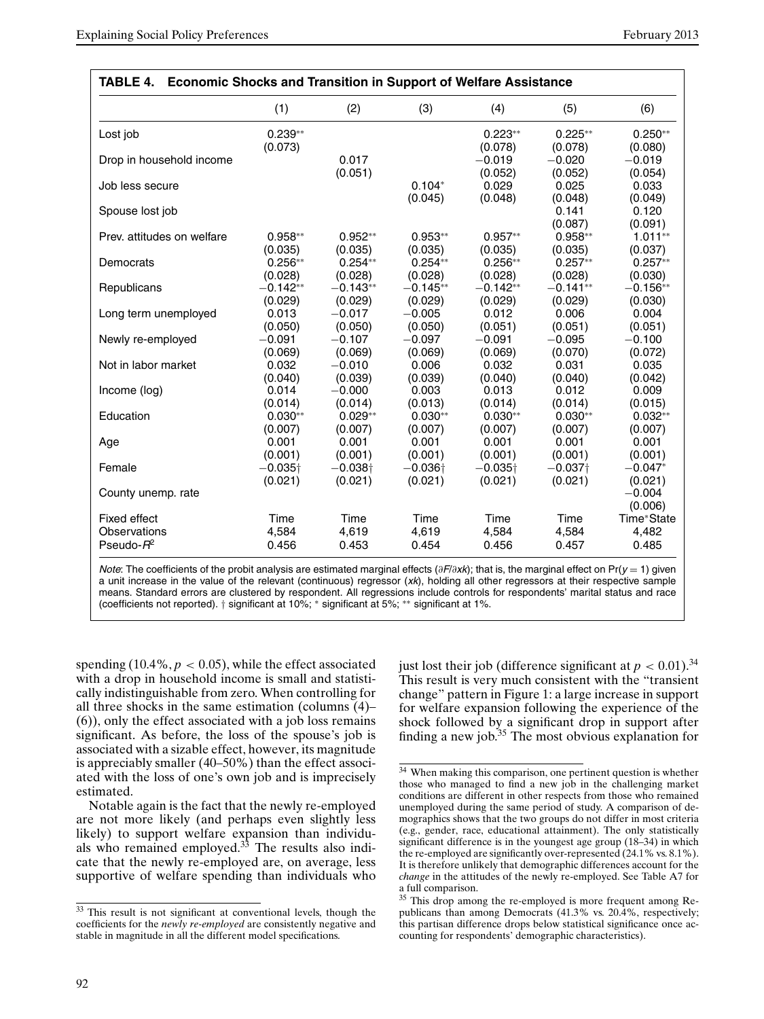|                            | (1)                        | (2)                              | (3)                              | (4)                        | (5)                              | (6)                   |
|----------------------------|----------------------------|----------------------------------|----------------------------------|----------------------------|----------------------------------|-----------------------|
| Lost job                   | $0.239**$                  |                                  |                                  | $0.223**$                  | $0.225**$                        | $0.250**$             |
| Drop in household income   | (0.073)                    | 0.017                            |                                  | (0.078)<br>$-0.019$        | (0.078)<br>$-0.020$              | (0.080)<br>$-0.019$   |
|                            |                            | (0.051)                          |                                  | (0.052)                    | (0.052)                          | (0.054)               |
| Job less secure            |                            |                                  | $0.104*$                         | 0.029                      | 0.025                            | 0.033                 |
|                            |                            |                                  | (0.045)                          | (0.048)                    | (0.048)                          | (0.049)               |
| Spouse lost job            |                            |                                  |                                  |                            | 0.141                            | 0.120                 |
|                            |                            |                                  |                                  |                            | (0.087)                          | (0.091)               |
| Prev. attitudes on welfare | $0.958**$                  | $0.952**$                        | $0.953**$                        | $0.957**$                  | $0.958**$                        | $1.011**$             |
|                            | (0.035)                    | (0.035)                          | (0.035)                          | (0.035)                    | (0.035)                          | (0.037)               |
| Democrats                  | $0.256**$                  | $0.254**$                        | $0.254**$                        | $0.256**$                  | $0.257**$                        | $0.257**$             |
|                            | (0.028)<br>$-0.142**$      | (0.028)<br>$-0.143**$            | (0.028)                          | (0.028)<br>$-0.142**$      | (0.028)                          | (0.030)               |
| Republicans                | (0.029)                    | (0.029)                          | $-0.145**$<br>(0.029)            | (0.029)                    | $-0.141**$<br>(0.029)            | $-0.156**$<br>(0.030) |
| Long term unemployed       | 0.013                      | $-0.017$                         | $-0.005$                         | 0.012                      | 0.006                            | 0.004                 |
|                            | (0.050)                    | (0.050)                          | (0.050)                          | (0.051)                    | (0.051)                          | (0.051)               |
| Newly re-employed          | $-0.091$                   | $-0.107$                         | $-0.097$                         | $-0.091$                   | $-0.095$                         | $-0.100$              |
|                            | (0.069)                    | (0.069)                          | (0.069)                          | (0.069)                    | (0.070)                          | (0.072)               |
| Not in labor market        | 0.032                      | $-0.010$                         | 0.006                            | 0.032                      | 0.031                            | 0.035                 |
|                            | (0.040)                    | (0.039)                          | (0.039)                          | (0.040)                    | (0.040)                          | (0.042)               |
| Income (log)               | 0.014                      | $-0.000$                         | 0.003                            | 0.013                      | 0.012                            | 0.009                 |
|                            | (0.014)                    | (0.014)                          | (0.013)                          | (0.014)                    | (0.014)                          | (0.015)               |
| Education                  | $0.030**$                  | $0.029**$                        | $0.030**$                        | $0.030**$                  | $0.030**$                        | $0.032**$             |
|                            | (0.007)                    | (0.007)                          | (0.007)                          | (0.007)                    | (0.007)                          | (0.007)               |
| Age                        | 0.001                      | 0.001                            | 0.001                            | 0.001                      | 0.001                            | 0.001                 |
| Female                     | (0.001)                    | (0.001)                          | (0.001)                          | (0.001)                    | (0.001)                          | (0.001)<br>$-0.047*$  |
|                            | $-0.035\dagger$<br>(0.021) | $-0.038$ <sup>+</sup><br>(0.021) | $-0.036$ <sup>+</sup><br>(0.021) | $-0.035\dagger$<br>(0.021) | $-0.037$ <sup>+</sup><br>(0.021) | (0.021)               |
| County unemp. rate         |                            |                                  |                                  |                            |                                  | $-0.004$              |
|                            |                            |                                  |                                  |                            |                                  | (0.006)               |
| Fixed effect               | Time                       | Time                             | Time                             | Time                       | Time                             | Time*State            |
| Observations               | 4,584                      | 4,619                            | 4,619                            | 4,584                      | 4,584                            | 4,482                 |
| Pseudo- $R^2$              | 0.456                      | 0.453                            | 0.454                            | 0.456                      | 0.457                            | 0.485                 |

**TABLE 4. Economic Shocks and Transition in Support of Welfare Assistance**

Note: The coefficients of the probit analysis are estimated marginal effects ( $\partial F/\partial xk$ ); that is, the marginal effect on Pr( $y = 1$ ) given a unit increase in the value of the relevant (continuous) regressor  $(xk)$ , holding all other regressors at their respective sample means. Standard errors are clustered by respondent. All regressions include controls for respondents' marital status and race (coefficients not reported). *†* significant at 10%; <sup>∗</sup> significant at 5%; ∗∗ significant at 1%.

spending  $(10.4\%, p < 0.05)$ , while the effect associated with a drop in household income is small and statistically indistinguishable from zero. When controlling for all three shocks in the same estimation (columns (4)– (6)), only the effect associated with a job loss remains significant. As before, the loss of the spouse's job is associated with a sizable effect, however, its magnitude is appreciably smaller (40–50%) than the effect associated with the loss of one's own job and is imprecisely estimated.

Notable again is the fact that the newly re-employed are not more likely (and perhaps even slightly less likely) to support welfare expansion than individuals who remained employed.33 The results also indicate that the newly re-employed are, on average, less supportive of welfare spending than individuals who

just lost their job (difference significant at  $p < 0.01$ ).<sup>34</sup> This result is very much consistent with the "transient change" pattern in Figure 1: a large increase in support for welfare expansion following the experience of the shock followed by a significant drop in support after finding a new job.<sup>35</sup> The most obvious explanation for

<sup>&</sup>lt;sup>33</sup> This result is not significant at conventional levels, though the coefficients for the *newly re-employed* are consistently negative and stable in magnitude in all the different model specifications.

<sup>34</sup> When making this comparison, one pertinent question is whether those who managed to find a new job in the challenging market conditions are different in other respects from those who remained unemployed during the same period of study. A comparison of demographics shows that the two groups do not differ in most criteria (e.g., gender, race, educational attainment). The only statistically significant difference is in the youngest age group (18–34) in which the re-employed are significantly over-represented (24.1% vs. 8.1%). It is therefore unlikely that demographic differences account for the *change* in the attitudes of the newly re-employed. See Table A7 for a full comparison.

<sup>&</sup>lt;sup>35</sup> This drop among the re-employed is more frequent among Republicans than among Democrats (41.3% vs. 20.4%, respectively; this partisan difference drops below statistical significance once accounting for respondents' demographic characteristics).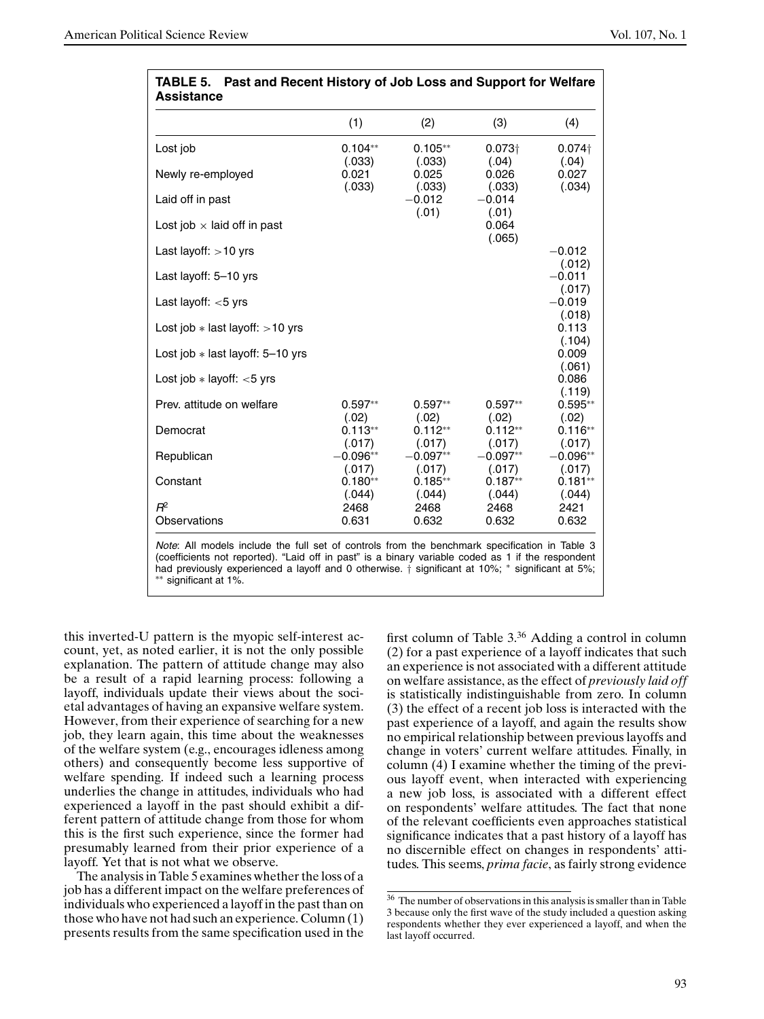| Assistance                          |                                |                                |                                |                                |  |
|-------------------------------------|--------------------------------|--------------------------------|--------------------------------|--------------------------------|--|
|                                     | (1)                            | (2)                            | (3)                            | (4)                            |  |
| Lost job                            | $0.104**$<br>(.033)            | $0.105**$<br>(.033)            | $0.073+$<br>(.04)              | $0.074\dagger$<br>(.04)        |  |
| Newly re-employed                   | 0.021<br>(.033)                | 0.025<br>(.033)                | 0.026<br>(.033)                | 0.027<br>(.034)                |  |
| Laid off in past                    |                                | $-0.012$                       | $-0.014$                       |                                |  |
| Lost job $\times$ laid off in past  |                                | (.01)                          | (.01)<br>0.064<br>(.065)       |                                |  |
| Last layoff: $>10$ yrs              |                                |                                |                                | $-0.012$                       |  |
| Last layoff: 5-10 yrs               |                                |                                |                                | (.012)<br>$-0.011$             |  |
| Last layoff: $<$ 5 yrs              |                                |                                |                                | (.017)<br>$-0.019$<br>(.018)   |  |
| Lost job $*$ last layoff: $>10$ yrs |                                |                                |                                | 0.113                          |  |
| Lost job $*$ last layoff: 5-10 yrs  |                                |                                |                                | (.104)<br>0.009<br>(.061)      |  |
| Lost job $*$ layoff: $<$ 5 yrs      |                                |                                |                                | 0.086                          |  |
| Prev. attitude on welfare           | $0.597**$<br>(.02)             | $0.597**$<br>(.02)             | $0.597**$<br>(.02)             | (.119)<br>$0.595**$<br>(.02)   |  |
| Democrat                            | $0.113**$                      | $0.112**$                      | $0.112**$                      | $0.116**$                      |  |
| Republican                          | (.017)<br>$-0.096**$<br>(.017) | (.017)<br>$-0.097**$<br>(.017) | (.017)<br>$-0.097**$<br>(.017) | (.017)<br>$-0.096**$<br>(.017) |  |
| Constant                            | $0.180**$<br>(.044)            | $0.185**$<br>(.044)            | $0.187**$<br>(.044)            | $0.181**$<br>(.044)            |  |
| $R^2$                               | 2468                           | 2468                           | 2468                           | 2421                           |  |
| Observations                        | 0.631                          | 0.632                          | 0.632                          | 0.632                          |  |

| <b>TABLE 5. Past and Recent History of Job Loss and Support for Welfare</b><br><b>Assistance</b> |  |  |     |     |     |
|--------------------------------------------------------------------------------------------------|--|--|-----|-----|-----|
|                                                                                                  |  |  | (2) | (3) | 74) |

\*\* significant at 1%.

this inverted-U pattern is the myopic self-interest account, yet, as noted earlier, it is not the only possible explanation. The pattern of attitude change may also be a result of a rapid learning process: following a layoff, individuals update their views about the societal advantages of having an expansive welfare system. However, from their experience of searching for a new job, they learn again, this time about the weaknesses of the welfare system (e.g., encourages idleness among others) and consequently become less supportive of welfare spending. If indeed such a learning process underlies the change in attitudes, individuals who had experienced a layoff in the past should exhibit a different pattern of attitude change from those for whom this is the first such experience, since the former had presumably learned from their prior experience of a layoff. Yet that is not what we observe.

The analysis in Table 5 examines whether the loss of a job has a different impact on the welfare preferences of individuals who experienced a layoff in the past than on those who have not had such an experience. Column (1) presents results from the same specification used in the

first column of Table 3.<sup>36</sup> Adding a control in column (2) for a past experience of a layoff indicates that such an experience is not associated with a different attitude on welfare assistance, as the effect of *previously laid off* is statistically indistinguishable from zero. In column (3) the effect of a recent job loss is interacted with the past experience of a layoff, and again the results show no empirical relationship between previous layoffs and change in voters' current welfare attitudes. Finally, in column (4) I examine whether the timing of the previous layoff event, when interacted with experiencing a new job loss, is associated with a different effect on respondents' welfare attitudes. The fact that none of the relevant coefficients even approaches statistical significance indicates that a past history of a layoff has no discernible effect on changes in respondents' attitudes. This seems, *prima facie*, as fairly strong evidence

<sup>36</sup> The number of observations in this analysis is smaller than in Table 3 because only the first wave of the study included a question asking respondents whether they ever experienced a layoff, and when the last layoff occurred.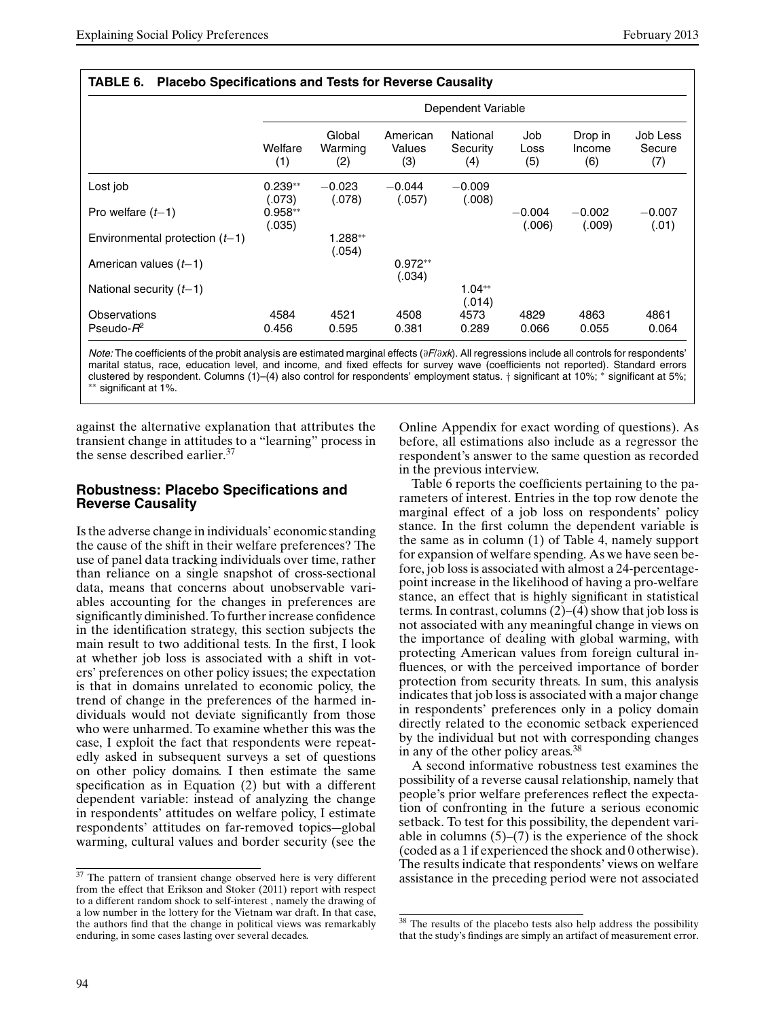|                                  | Dependent Variable  |                          |                           |                             |                    |                          |                           |  |
|----------------------------------|---------------------|--------------------------|---------------------------|-----------------------------|--------------------|--------------------------|---------------------------|--|
|                                  | Welfare<br>(1)      | Global<br>Warming<br>(2) | American<br>Values<br>(3) | National<br>Security<br>(4) | Job<br>Loss<br>(5) | Drop in<br>Income<br>(6) | Job Less<br>Secure<br>(7) |  |
| Lost job                         | $0.239**$<br>(.073) | $-0.023$<br>(.078)       | $-0.044$<br>(.057)        | $-0.009$<br>(.008)          |                    |                          |                           |  |
| Pro welfare $(t-1)$              | $0.958**$<br>(.035) |                          |                           |                             | $-0.004$<br>(.006) | $-0.002$<br>(.009)       | $-0.007$<br>(.01)         |  |
| Environmental protection $(t-1)$ |                     | 1.288**<br>(.054)        |                           |                             |                    |                          |                           |  |
| American values $(t-1)$          |                     |                          | $0.972**$<br>(.034)       |                             |                    |                          |                           |  |
| National security $(t-1)$        |                     |                          |                           | $1.04**$<br>(.014)          |                    |                          |                           |  |
| Observations                     | 4584                | 4521                     | 4508                      | 4573                        | 4829               | 4863                     | 4861                      |  |
| Pseudo- $R^2$                    | 0.456               | 0.595                    | 0.381                     | 0.289                       | 0.066              | 0.055                    | 0.064                     |  |

**TABLE 6. Placebo Specifications and Tests for Reverse Causality**

Note: The coefficients of the probit analysis are estimated marginal effects (∂F/∂xk). All regressions include all controls for respondents' marital status, race, education level, and income, and fixed effects for survey wave (coefficients not reported). Standard errors clustered by respondent. Columns (1)–(4) also control for respondents' employment status. † significant at 10%; \* significant at 5%; \*\*<br>\*\* significant at 1%.

against the alternative explanation that attributes the transient change in attitudes to a "learning" process in the sense described earlier.<sup>37</sup>

### **Robustness: Placebo Specifications and Reverse Causality**

Is the adverse change in individuals' economic standing the cause of the shift in their welfare preferences? The use of panel data tracking individuals over time, rather than reliance on a single snapshot of cross-sectional data, means that concerns about unobservable variables accounting for the changes in preferences are significantly diminished. To further increase confidence in the identification strategy, this section subjects the main result to two additional tests. In the first, I look at whether job loss is associated with a shift in voters' preferences on other policy issues; the expectation is that in domains unrelated to economic policy, the trend of change in the preferences of the harmed individuals would not deviate significantly from those who were unharmed. To examine whether this was the case, I exploit the fact that respondents were repeatedly asked in subsequent surveys a set of questions on other policy domains. I then estimate the same specification as in Equation (2) but with a different dependent variable: instead of analyzing the change in respondents' attitudes on welfare policy, I estimate respondents' attitudes on far-removed topics—global warming, cultural values and border security (see the

 $37$  The pattern of transient change observed here is very different from the effect that Erikson and Stoker (2011) report with respect to a different random shock to self-interest , namely the drawing of a low number in the lottery for the Vietnam war draft. In that case, the authors find that the change in political views was remarkably enduring, in some cases lasting over several decades.

Online Appendix for exact wording of questions). As before, all estimations also include as a regressor the respondent's answer to the same question as recorded in the previous interview.

Table 6 reports the coefficients pertaining to the parameters of interest. Entries in the top row denote the marginal effect of a job loss on respondents' policy stance. In the first column the dependent variable is the same as in column (1) of Table 4, namely support for expansion of welfare spending. As we have seen before, job loss is associated with almost a 24-percentagepoint increase in the likelihood of having a pro-welfare stance, an effect that is highly significant in statistical terms. In contrast, columns  $(2)$ – $(4)$  show that job loss is not associated with any meaningful change in views on the importance of dealing with global warming, with protecting American values from foreign cultural influences, or with the perceived importance of border protection from security threats. In sum, this analysis indicates that job loss is associated with a major change in respondents' preferences only in a policy domain directly related to the economic setback experienced by the individual but not with corresponding changes in any of the other policy areas.<sup>38</sup>

A second informative robustness test examines the possibility of a reverse causal relationship, namely that people's prior welfare preferences reflect the expectation of confronting in the future a serious economic setback. To test for this possibility, the dependent variable in columns  $(5)-(7)$  is the experience of the shock (coded as a 1 if experienced the shock and 0 otherwise). The results indicate that respondents' views on welfare assistance in the preceding period were not associated

<sup>&</sup>lt;sup>38</sup> The results of the placebo tests also help address the possibility that the study's findings are simply an artifact of measurement error.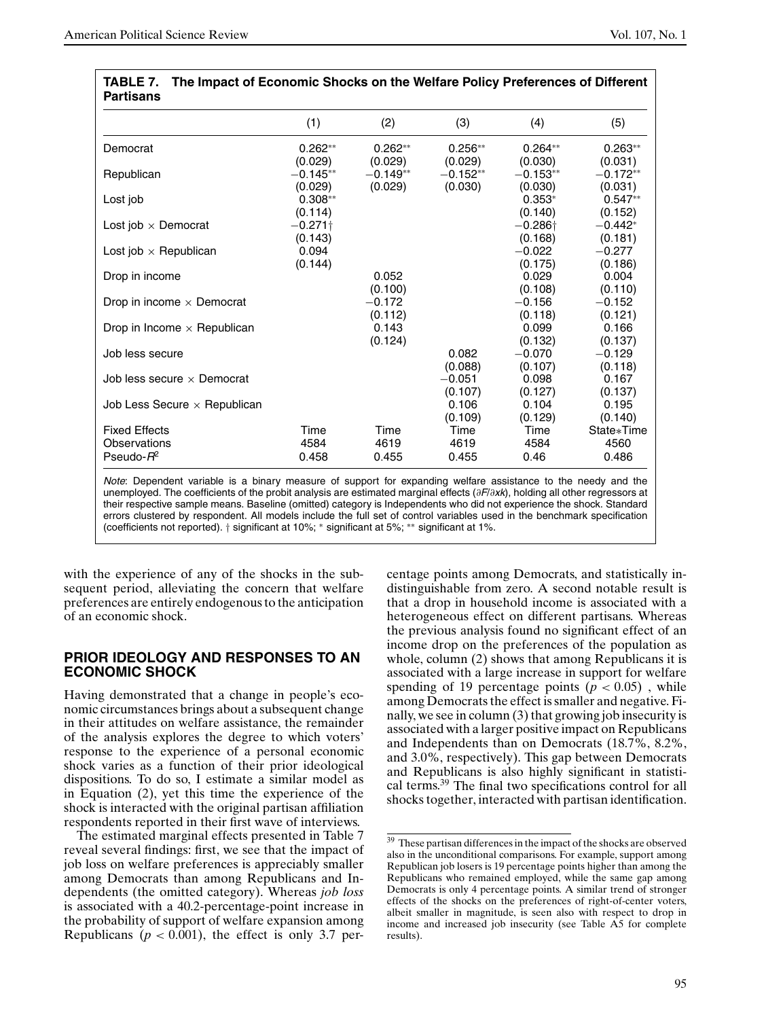**TABLE 7. The Impact of Economic Shocks on the Welfare Policy Preferences of Different Partisans**

|                                     | (1)                              | (2)                   | (3)                   | (4)                              | (5)                     |
|-------------------------------------|----------------------------------|-----------------------|-----------------------|----------------------------------|-------------------------|
| Democrat                            | $0.262**$<br>(0.029)             | $0.262**$<br>(0.029)  | $0.256**$<br>(0.029)  | $0.264**$<br>(0.030)             | $0.263**$<br>(0.031)    |
| Republican                          | $-0.145**$<br>(0.029)            | $-0.149**$<br>(0.029) | $-0.152**$<br>(0.030) | $-0.153**$<br>(0.030)            | $-0.172**$<br>(0.031)   |
| Lost job                            | $0.308**$<br>(0.114)             |                       |                       | $0.353*$<br>(0.140)              | $0.547**$<br>(0.152)    |
| Lost job $\times$ Democrat          | $-0.271$ <sup>+</sup><br>(0.143) |                       |                       | $-0.286$ <sup>+</sup><br>(0.168) | $-0.442*$<br>(0.181)    |
| Lost job $\times$ Republican        | 0.094<br>(0.144)                 |                       |                       | $-0.022$<br>(0.175)              | $-0.277$<br>(0.186)     |
| Drop in income                      |                                  | 0.052<br>(0.100)      |                       | 0.029<br>(0.108)                 | 0.004<br>(0.110)        |
| Drop in income $\times$ Democrat    |                                  | $-0.172$<br>(0.112)   |                       | $-0.156$<br>(0.118)              | $-0.152$<br>(0.121)     |
| Drop in Income $\times$ Republican  |                                  | 0.143<br>(0.124)      |                       | 0.099<br>(0.132)                 | 0.166<br>(0.137)        |
| Job less secure                     |                                  |                       | 0.082<br>(0.088)      | $-0.070$<br>(0.107)              | $-0.129$<br>(0.118)     |
| Job less secure $\times$ Democrat   |                                  |                       | $-0.051$<br>(0.107)   | 0.098<br>(0.127)                 | 0.167<br>(0.137)        |
| Job Less Secure $\times$ Republican |                                  |                       | 0.106<br>(0.109)      | 0.104<br>(0.129)                 | 0.195<br>(0.140)        |
| <b>Fixed Effects</b>                | Time                             | Time                  | Time                  | Time                             | State <sub>*</sub> Time |
| Observations                        | 4584                             | 4619                  | 4619                  | 4584                             | 4560                    |
| Pseudo- $R^2$                       | 0.458                            | 0.455                 | 0.455                 | 0.46                             | 0.486                   |

Note: Dependent variable is a binary measure of support for expanding welfare assistance to the needy and the unemployed. The coefficients of the probit analysis are estimated marginal effects ( $\partial F/\partial xk$ ), holding all other regressors at their respective sample means. Baseline (omitted) category is Independents who did not experience the shock. Standard errors clustered by respondent. All models include the full set of control variables used in the benchmark specification (coefficients not reported). *†* significant at 10%; <sup>∗</sup> significant at 5%; ∗∗ significant at 1%.

with the experience of any of the shocks in the subsequent period, alleviating the concern that welfare preferences are entirely endogenous to the anticipation of an economic shock.

### **PRIOR IDEOLOGY AND RESPONSES TO AN ECONOMIC SHOCK**

Having demonstrated that a change in people's economic circumstances brings about a subsequent change in their attitudes on welfare assistance, the remainder of the analysis explores the degree to which voters' response to the experience of a personal economic shock varies as a function of their prior ideological dispositions. To do so, I estimate a similar model as in Equation (2), yet this time the experience of the shock is interacted with the original partisan affiliation respondents reported in their first wave of interviews.

The estimated marginal effects presented in Table 7 reveal several findings: first, we see that the impact of job loss on welfare preferences is appreciably smaller among Democrats than among Republicans and Independents (the omitted category). Whereas *job loss* is associated with a 40.2-percentage-point increase in the probability of support of welfare expansion among Republicans ( $p < 0.001$ ), the effect is only 3.7 percentage points among Democrats, and statistically indistinguishable from zero. A second notable result is that a drop in household income is associated with a heterogeneous effect on different partisans. Whereas the previous analysis found no significant effect of an income drop on the preferences of the population as whole, column (2) shows that among Republicans it is associated with a large increase in support for welfare spending of 19 percentage points  $(p < 0.05)$ , while among Democrats the effect is smaller and negative. Finally, we see in column (3) that growing job insecurity is associated with a larger positive impact on Republicans and Independents than on Democrats (18.7%, 8.2%, and 3.0%, respectively). This gap between Democrats and Republicans is also highly significant in statistical terms.<sup>39</sup> The final two specifications control for all shocks together, interacted with partisan identification.

<sup>&</sup>lt;sup>39</sup> These partisan differences in the impact of the shocks are observed also in the unconditional comparisons. For example, support among Republican job losers is 19 percentage points higher than among the Republicans who remained employed, while the same gap among Democrats is only 4 percentage points. A similar trend of stronger effects of the shocks on the preferences of right-of-center voters, albeit smaller in magnitude, is seen also with respect to drop in income and increased job insecurity (see Table A5 for complete results).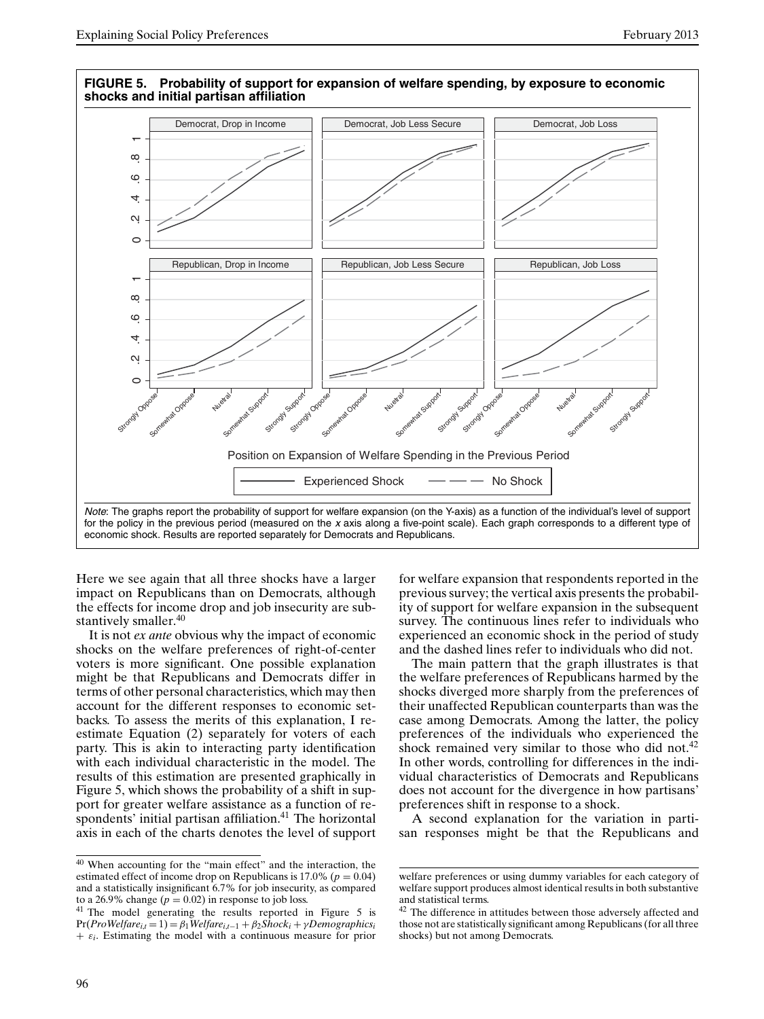

**FIGURE 5. Probability of support for expansion of welfare spending, by exposure to economic**

Here we see again that all three shocks have a larger impact on Republicans than on Democrats, although the effects for income drop and job insecurity are substantively smaller.<sup>40</sup>

It is not *ex ante* obvious why the impact of economic shocks on the welfare preferences of right-of-center voters is more significant. One possible explanation might be that Republicans and Democrats differ in terms of other personal characteristics, which may then account for the different responses to economic setbacks. To assess the merits of this explanation, I reestimate Equation (2) separately for voters of each party. This is akin to interacting party identification with each individual characteristic in the model. The results of this estimation are presented graphically in Figure 5, which shows the probability of a shift in support for greater welfare assistance as a function of respondents' initial partisan affiliation. $41$  The horizontal axis in each of the charts denotes the level of support for welfare expansion that respondents reported in the previous survey; the vertical axis presents the probability of support for welfare expansion in the subsequent survey. The continuous lines refer to individuals who experienced an economic shock in the period of study and the dashed lines refer to individuals who did not.

The main pattern that the graph illustrates is that the welfare preferences of Republicans harmed by the shocks diverged more sharply from the preferences of their unaffected Republican counterparts than was the case among Democrats. Among the latter, the policy preferences of the individuals who experienced the shock remained very similar to those who did not.<sup>42</sup> In other words, controlling for differences in the individual characteristics of Democrats and Republicans does not account for the divergence in how partisans' preferences shift in response to a shock.

A second explanation for the variation in partisan responses might be that the Republicans and

<sup>40</sup> When accounting for the "main effect" and the interaction, the estimated effect of income drop on Republicans is  $17.0\%$  ( $p = 0.04$ ) and a statistically insignificant 6.7% for job insecurity, as compared

to a 26.9% change  $(p = 0.02)$  in response to job loss.<br><sup>41</sup> The model generating the results reported in Figure 5 is  $Pr(ProuWelfare_{i,t} = 1) = \beta_1 Welfare_{i,t-1} + \beta_2 Shock_i + \gamma Demographic_i$  $+ \varepsilon_i$ . Estimating the model with a continuous measure for prior

welfare preferences or using dummy variables for each category of welfare support produces almost identical results in both substantive and statistical terms.

 $42$  The difference in attitudes between those adversely affected and those not are statistically significant among Republicans (for all three shocks) but not among Democrats.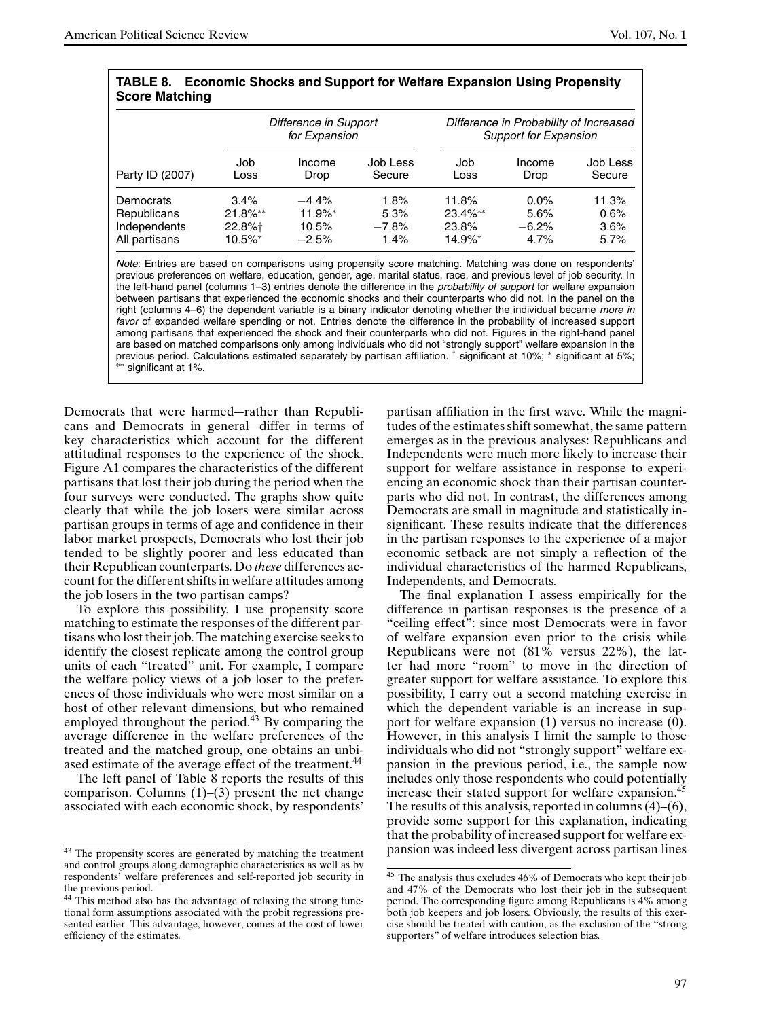|                       | TABLE 8. Economic Shocks and Support for Welfare Expansion Using Propensity |
|-----------------------|-----------------------------------------------------------------------------|
| <b>Score Matching</b> |                                                                             |

| Party ID (2007)                                           |                                               | Difference in Support<br>for Expansion |                                 |                                           | Difference in Probability of Increased<br><b>Support for Expansion</b> |                               |  |
|-----------------------------------------------------------|-----------------------------------------------|----------------------------------------|---------------------------------|-------------------------------------------|------------------------------------------------------------------------|-------------------------------|--|
|                                                           | Job<br>Loss                                   | Income<br>Drop                         | Job Less<br>Secure              | Job<br>Loss                               | Income<br>Drop                                                         | Job Less<br>Secure            |  |
| Democrats<br>Republicans<br>Independents<br>All partisans | $3.4\%$<br>$21.8\%**$<br>22.8%+<br>$10.5\%$ * | $-4.4%$<br>11.9%<br>10.5%<br>$-2.5%$   | 1.8%<br>5.3%<br>$-7.8%$<br>1.4% | 11.8%<br>$23.4\%**$<br>23.8%<br>$14.9%$ * | $0.0\%$<br>5.6%<br>$-6.2%$<br>4.7%                                     | 11.3%<br>0.6%<br>3.6%<br>5.7% |  |

Note: Entries are based on comparisons using propensity score matching. Matching was done on respondents' previous preferences on welfare, education, gender, age, marital status, race, and previous level of job security. In the left-hand panel (columns 1-3) entries denote the difference in the *probability of support* for welfare expansion between partisans that experienced the economic shocks and their counterparts who did not. In the panel on the right (columns 4–6) the dependent variable is a binary indicator denoting whether the individual became more in favor of expanded welfare spending or not. Entries denote the difference in the probability of increased support among partisans that experienced the shock and their counterparts who did not. Figures in the right-hand panel are based on matched comparisons only among individuals who did not "strongly support" welfare expansion in the previous period. Calculations estimated separately by partisan affiliation. *†* significant at 10%; ∗ significant at 5%; ∗∗ significant at 1%.

Democrats that were harmed—rather than Republicans and Democrats in general—differ in terms of key characteristics which account for the different attitudinal responses to the experience of the shock. Figure A1 compares the characteristics of the different partisans that lost their job during the period when the four surveys were conducted. The graphs show quite clearly that while the job losers were similar across partisan groups in terms of age and confidence in their labor market prospects, Democrats who lost their job tended to be slightly poorer and less educated than their Republican counterparts. Do *these* differences account for the different shifts in welfare attitudes among the job losers in the two partisan camps?

To explore this possibility, I use propensity score matching to estimate the responses of the different partisans who lost their job. The matching exercise seeks to identify the closest replicate among the control group units of each "treated" unit. For example, I compare the welfare policy views of a job loser to the preferences of those individuals who were most similar on a host of other relevant dimensions, but who remained employed throughout the period.<sup>43</sup> By comparing the average difference in the welfare preferences of the treated and the matched group, one obtains an unbiased estimate of the average effect of the treatment.<sup>44</sup>

The left panel of Table 8 reports the results of this comparison. Columns  $(1)$ – $(3)$  present the net change associated with each economic shock, by respondents'

partisan affiliation in the first wave. While the magnitudes of the estimates shift somewhat, the same pattern emerges as in the previous analyses: Republicans and Independents were much more likely to increase their support for welfare assistance in response to experiencing an economic shock than their partisan counterparts who did not. In contrast, the differences among Democrats are small in magnitude and statistically insignificant. These results indicate that the differences in the partisan responses to the experience of a major economic setback are not simply a reflection of the individual characteristics of the harmed Republicans, Independents, and Democrats.

The final explanation I assess empirically for the difference in partisan responses is the presence of a "ceiling effect": since most Democrats were in favor of welfare expansion even prior to the crisis while Republicans were not (81% versus 22%), the latter had more "room" to move in the direction of greater support for welfare assistance. To explore this possibility, I carry out a second matching exercise in which the dependent variable is an increase in support for welfare expansion (1) versus no increase (0). However, in this analysis I limit the sample to those individuals who did not "strongly support" welfare expansion in the previous period, i.e., the sample now includes only those respondents who could potentially increase their stated support for welfare expansion.<sup>45</sup> The results of this analysis, reported in columns (4)–(6), provide some support for this explanation, indicating that the probability of increased support for welfare expansion was indeed less divergent across partisan lines

<sup>&</sup>lt;sup>43</sup> The propensity scores are generated by matching the treatment and control groups along demographic characteristics as well as by respondents' welfare preferences and self-reported job security in the previous period.

<sup>44</sup> This method also has the advantage of relaxing the strong functional form assumptions associated with the probit regressions presented earlier. This advantage, however, comes at the cost of lower efficiency of the estimates.

<sup>45</sup> The analysis thus excludes 46% of Democrats who kept their job and 47% of the Democrats who lost their job in the subsequent period. The corresponding figure among Republicans is 4% among both job keepers and job losers. Obviously, the results of this exercise should be treated with caution, as the exclusion of the "strong supporters" of welfare introduces selection bias.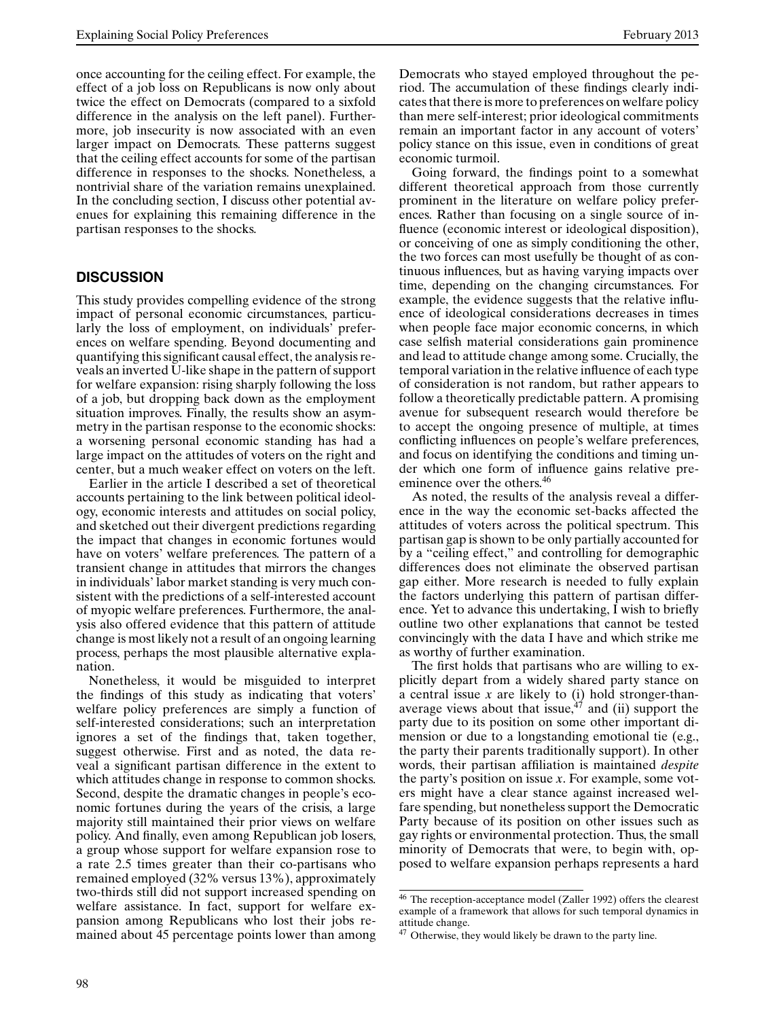once accounting for the ceiling effect. For example, the effect of a job loss on Republicans is now only about twice the effect on Democrats (compared to a sixfold difference in the analysis on the left panel). Furthermore, job insecurity is now associated with an even larger impact on Democrats. These patterns suggest that the ceiling effect accounts for some of the partisan difference in responses to the shocks. Nonetheless, a nontrivial share of the variation remains unexplained. In the concluding section, I discuss other potential avenues for explaining this remaining difference in the partisan responses to the shocks.

### **DISCUSSION**

This study provides compelling evidence of the strong impact of personal economic circumstances, particularly the loss of employment, on individuals' preferences on welfare spending. Beyond documenting and quantifying this significant causal effect, the analysis reveals an inverted U-like shape in the pattern of support for welfare expansion: rising sharply following the loss of a job, but dropping back down as the employment situation improves. Finally, the results show an asymmetry in the partisan response to the economic shocks: a worsening personal economic standing has had a large impact on the attitudes of voters on the right and center, but a much weaker effect on voters on the left.

Earlier in the article I described a set of theoretical accounts pertaining to the link between political ideology, economic interests and attitudes on social policy, and sketched out their divergent predictions regarding the impact that changes in economic fortunes would have on voters' welfare preferences. The pattern of a transient change in attitudes that mirrors the changes in individuals' labor market standing is very much consistent with the predictions of a self-interested account of myopic welfare preferences. Furthermore, the analysis also offered evidence that this pattern of attitude change is most likely not a result of an ongoing learning process, perhaps the most plausible alternative explanation.

Nonetheless, it would be misguided to interpret the findings of this study as indicating that voters' welfare policy preferences are simply a function of self-interested considerations; such an interpretation ignores a set of the findings that, taken together, suggest otherwise. First and as noted, the data reveal a significant partisan difference in the extent to which attitudes change in response to common shocks. Second, despite the dramatic changes in people's economic fortunes during the years of the crisis, a large majority still maintained their prior views on welfare policy. And finally, even among Republican job losers, a group whose support for welfare expansion rose to a rate 2.5 times greater than their co-partisans who remained employed (32% versus 13%), approximately two-thirds still did not support increased spending on welfare assistance. In fact, support for welfare expansion among Republicans who lost their jobs remained about 45 percentage points lower than among Democrats who stayed employed throughout the period. The accumulation of these findings clearly indicates that there is more to preferences on welfare policy than mere self-interest; prior ideological commitments remain an important factor in any account of voters' policy stance on this issue, even in conditions of great economic turmoil.

Going forward, the findings point to a somewhat different theoretical approach from those currently prominent in the literature on welfare policy preferences. Rather than focusing on a single source of influence (economic interest or ideological disposition), or conceiving of one as simply conditioning the other, the two forces can most usefully be thought of as continuous influences, but as having varying impacts over time, depending on the changing circumstances. For example, the evidence suggests that the relative influence of ideological considerations decreases in times when people face major economic concerns, in which case selfish material considerations gain prominence and lead to attitude change among some. Crucially, the temporal variation in the relative influence of each type of consideration is not random, but rather appears to follow a theoretically predictable pattern. A promising avenue for subsequent research would therefore be to accept the ongoing presence of multiple, at times conflicting influences on people's welfare preferences, and focus on identifying the conditions and timing under which one form of influence gains relative preeminence over the others.<sup>46</sup>

As noted, the results of the analysis reveal a difference in the way the economic set-backs affected the attitudes of voters across the political spectrum. This partisan gap is shown to be only partially accounted for by a "ceiling effect," and controlling for demographic differences does not eliminate the observed partisan gap either. More research is needed to fully explain the factors underlying this pattern of partisan difference. Yet to advance this undertaking, I wish to briefly outline two other explanations that cannot be tested convincingly with the data I have and which strike me as worthy of further examination.

The first holds that partisans who are willing to explicitly depart from a widely shared party stance on a central issue *x* are likely to (i) hold stronger-thanaverage views about that issue, $47$  and (ii) support the party due to its position on some other important dimension or due to a longstanding emotional tie (e.g., the party their parents traditionally support). In other words, their partisan affiliation is maintained *despite* the party's position on issue *x*. For example, some voters might have a clear stance against increased welfare spending, but nonetheless support the Democratic Party because of its position on other issues such as gay rights or environmental protection. Thus, the small minority of Democrats that were, to begin with, opposed to welfare expansion perhaps represents a hard

<sup>46</sup> The reception-acceptance model (Zaller 1992) offers the clearest example of a framework that allows for such temporal dynamics in attitude change.

<sup>&</sup>lt;sup>47</sup> Otherwise, they would likely be drawn to the party line.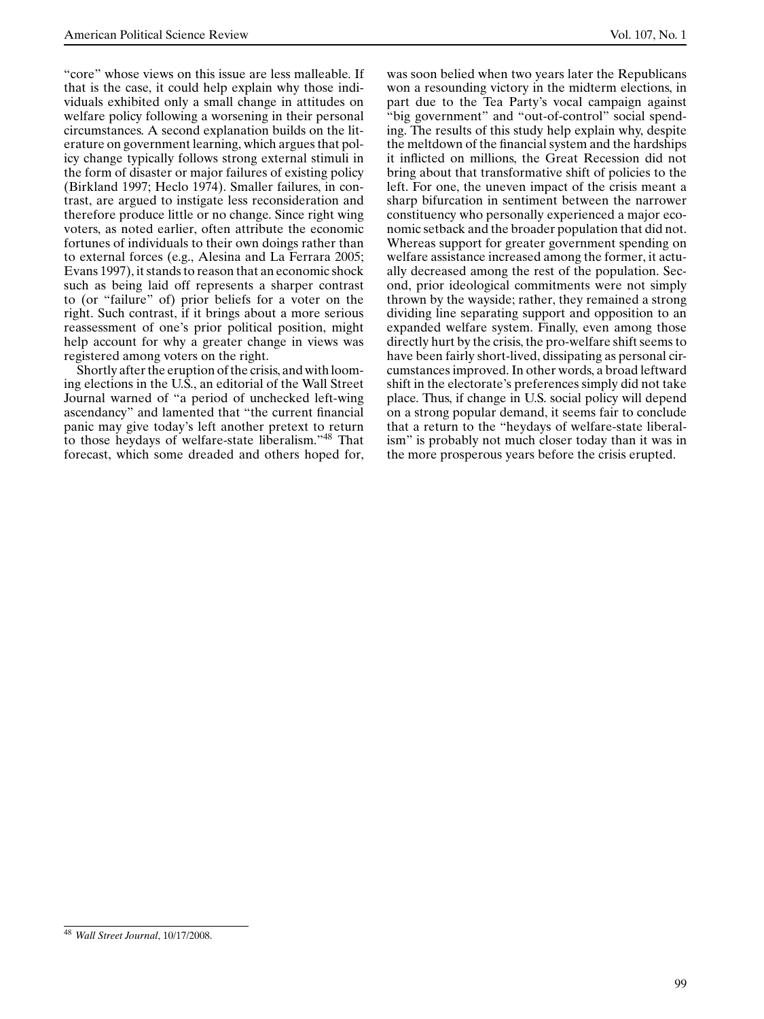"core" whose views on this issue are less malleable. If that is the case, it could help explain why those individuals exhibited only a small change in attitudes on welfare policy following a worsening in their personal circumstances. A second explanation builds on the literature on government learning, which argues that policy change typically follows strong external stimuli in the form of disaster or major failures of existing policy (Birkland 1997; Heclo 1974). Smaller failures, in contrast, are argued to instigate less reconsideration and therefore produce little or no change. Since right wing voters, as noted earlier, often attribute the economic fortunes of individuals to their own doings rather than to external forces (e.g., Alesina and La Ferrara 2005; Evans 1997), it stands to reason that an economic shock such as being laid off represents a sharper contrast to (or "failure" of) prior beliefs for a voter on the right. Such contrast, if it brings about a more serious reassessment of one's prior political position, might help account for why a greater change in views was registered among voters on the right.

Shortly after the eruption of the crisis, and with looming elections in the U.S., an editorial of the Wall Street Journal warned of "a period of unchecked left-wing ascendancy" and lamented that "the current financial panic may give today's left another pretext to return to those heydays of welfare-state liberalism."48 That forecast, which some dreaded and others hoped for,

was soon belied when two years later the Republicans won a resounding victory in the midterm elections, in part due to the Tea Party's vocal campaign against "big government" and "out-of-control" social spending. The results of this study help explain why, despite the meltdown of the financial system and the hardships it inflicted on millions, the Great Recession did not bring about that transformative shift of policies to the left. For one, the uneven impact of the crisis meant a sharp bifurcation in sentiment between the narrower constituency who personally experienced a major economic setback and the broader population that did not. Whereas support for greater government spending on welfare assistance increased among the former, it actually decreased among the rest of the population. Second, prior ideological commitments were not simply thrown by the wayside; rather, they remained a strong dividing line separating support and opposition to an expanded welfare system. Finally, even among those directly hurt by the crisis, the pro-welfare shift seems to have been fairly short-lived, dissipating as personal circumstances improved. In other words, a broad leftward shift in the electorate's preferences simply did not take place. Thus, if change in U.S. social policy will depend on a strong popular demand, it seems fair to conclude that a return to the "heydays of welfare-state liberalism" is probably not much closer today than it was in the more prosperous years before the crisis erupted.

<sup>48</sup> *Wall Street Journal*, 10/17/2008.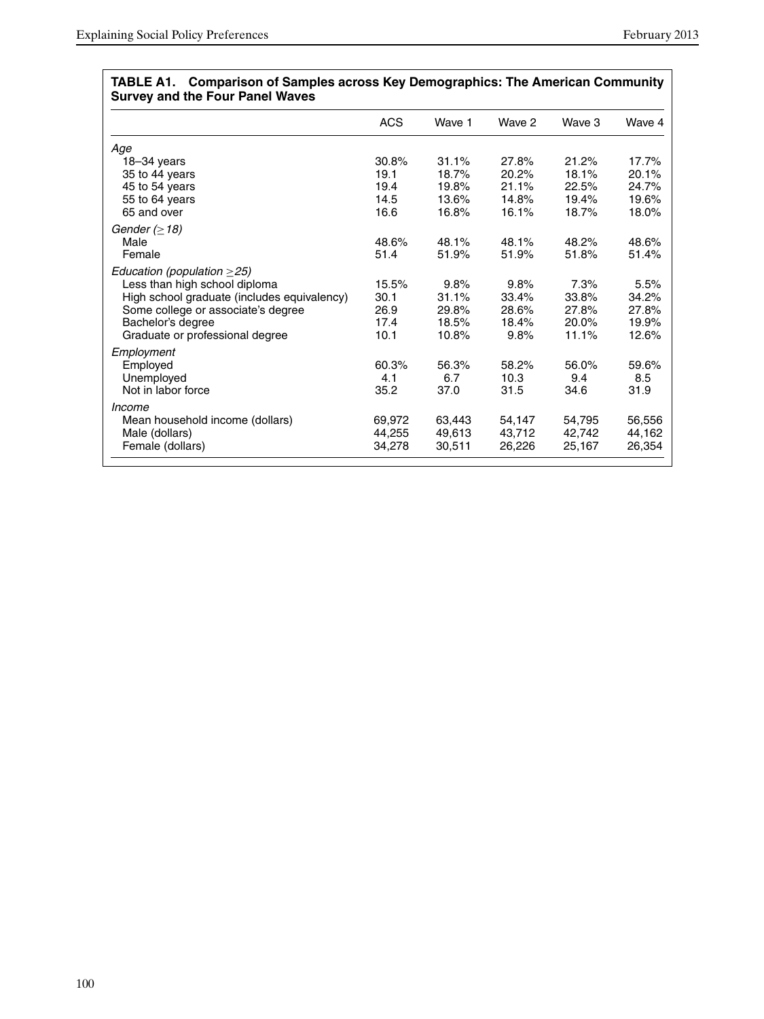|                                             | <b>ACS</b> | Wave 1 | Wave 2 | Wave 3 | Wave 4 |
|---------------------------------------------|------------|--------|--------|--------|--------|
| Age                                         |            |        |        |        |        |
| $18 - 34$ years                             | 30.8%      | 31.1%  | 27.8%  | 21.2%  | 17.7%  |
| 35 to 44 years                              | 19.1       | 18.7%  | 20.2%  | 18.1%  | 20.1%  |
| 45 to 54 years                              | 19.4       | 19.8%  | 21.1%  | 22.5%  | 24.7%  |
| 55 to 64 years                              | 14.5       | 13.6%  | 14.8%  | 19.4%  | 19.6%  |
| 65 and over                                 | 16.6       | 16.8%  | 16.1%  | 18.7%  | 18.0%  |
| Gender ( $\geq$ 18)                         |            |        |        |        |        |
| Male                                        | 48.6%      | 48.1%  | 48.1%  | 48.2%  | 48.6%  |
| Female                                      | 51.4       | 51.9%  | 51.9%  | 51.8%  | 51.4%  |
| Education (population $\geq$ 25)            |            |        |        |        |        |
| Less than high school diploma               | 15.5%      | 9.8%   | 9.8%   | 7.3%   | 5.5%   |
| High school graduate (includes equivalency) | 30.1       | 31.1%  | 33.4%  | 33.8%  | 34.2%  |
| Some college or associate's degree          | 26.9       | 29.8%  | 28.6%  | 27.8%  | 27.8%  |
| Bachelor's degree                           | 17.4       | 18.5%  | 18.4%  | 20.0%  | 19.9%  |
| Graduate or professional degree             | 10.1       | 10.8%  | 9.8%   | 11.1%  | 12.6%  |
| Employment                                  |            |        |        |        |        |
| Employed                                    | 60.3%      | 56.3%  | 58.2%  | 56.0%  | 59.6%  |
| Unemployed                                  | 4.1        | 6.7    | 10.3   | 9.4    | 8.5    |
| Not in labor force                          | 35.2       | 37.0   | 31.5   | 34.6   | 31.9   |
| Income                                      |            |        |        |        |        |
| Mean household income (dollars)             | 69,972     | 63,443 | 54,147 | 54,795 | 56,556 |
| Male (dollars)                              | 44,255     | 49,613 | 43,712 | 42,742 | 44,162 |
| Female (dollars)                            | 34,278     | 30,511 | 26,226 | 25,167 | 26,354 |

# **TABLE A1. Comparison of Samples across Key Demographics: The American Community Survey and the Four Panel Waves**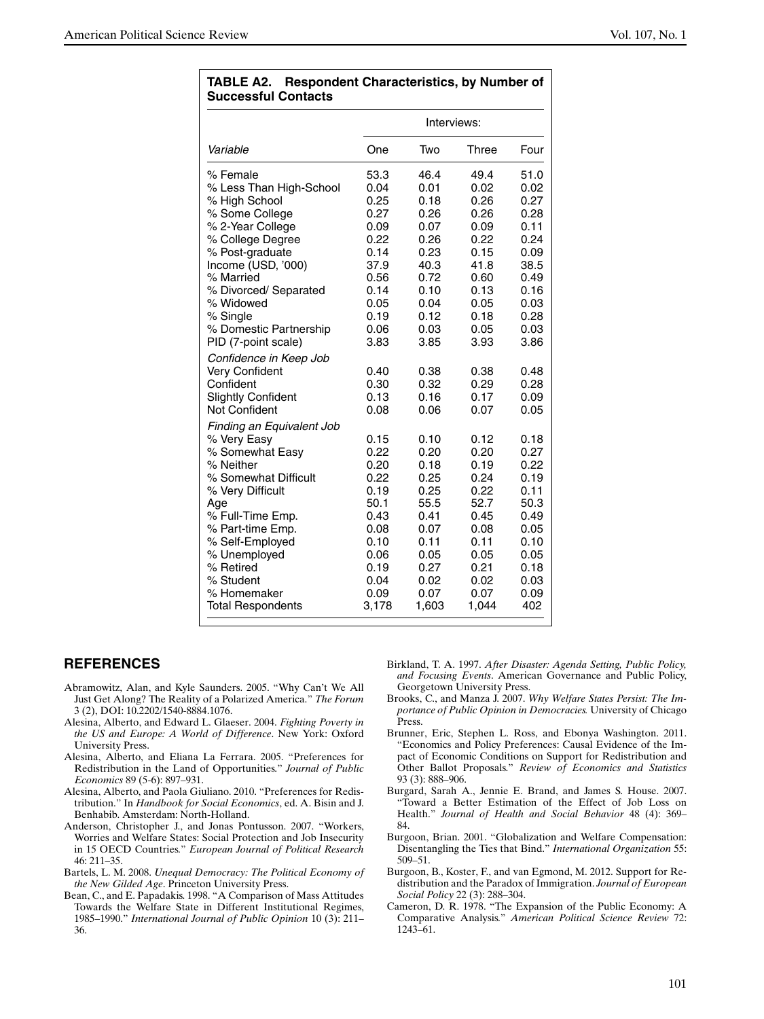|                                    |              | Interviews:  |              |              |
|------------------------------------|--------------|--------------|--------------|--------------|
| Variable                           | One          | Two          | <b>Three</b> | Four         |
| % Female                           | 53.3         | 46.4         | 49.4         | 51.0         |
| % Less Than High-School            | 0.04         | 0.01         | 0.02         | 0.02         |
| % High School                      | 0.25         | 0.18         | 0.26         | 0.27         |
| % Some College                     | 0.27         | 0.26         | 0.26         | 0.28         |
| % 2-Year College                   | 0.09         | 0.07         | 0.09         | 0.11         |
| % College Degree                   | 0.22         | 0.26         | 0.22         | 0.24         |
| % Post-graduate                    | 0.14         | 0.23         | 0.15         | 0.09         |
| Income (USD, '000)                 | 37.9         | 40.3         | 41.8         | 38.5         |
| % Married                          | 0.56         | 0.72         | 0.60         | 0.49         |
| % Divorced/ Separated              | 0.14         | 0.10         | 0.13         | 0.16         |
| % Widowed                          | 0.05         | 0.04         | 0.05         | 0.03         |
| % Single<br>% Domestic Partnership | 0.19<br>0.06 | 0.12<br>0.03 | 0.18<br>0.05 | 0.28<br>0.03 |
| PID (7-point scale)                | 3.83         | 3.85         | 3.93         | 3.86         |
|                                    |              |              |              |              |
| Confidence in Keep Job             |              |              |              |              |
| Very Confident<br>Confident        | 0.40<br>0.30 | 0.38<br>0.32 | 0.38<br>0.29 | 0.48<br>0.28 |
| <b>Slightly Confident</b>          | 0.13         | 0.16         | 0.17         | 0.09         |
| Not Confident                      | 0.08         | 0.06         | 0.07         | 0.05         |
|                                    |              |              |              |              |
| Finding an Equivalent Job          |              |              |              |              |
| % Very Easy                        | 0.15<br>0.22 | 0.10         | 0.12         | 0.18         |
| % Somewhat Easv<br>% Neither       | 0.20         | 0.20<br>0.18 | 0.20<br>0.19 | 0.27<br>0.22 |
| % Somewhat Difficult               | 0.22         | 0.25         | 0.24         | 0.19         |
| % Very Difficult                   | 0.19         | 0.25         | 0.22         | 0.11         |
| Age                                | 50.1         | 55.5         | 52.7         | 50.3         |
| % Full-Time Emp.                   | 0.43         | 0.41         | 0.45         | 0.49         |
| % Part-time Emp.                   | 0.08         | 0.07         | 0.08         | 0.05         |
| % Self-Employed                    | 0.10         | 0.11         | 0.11         | 0.10         |
| % Unemployed                       | 0.06         | 0.05         | 0.05         | 0.05         |
| % Retired                          | 0.19         | 0.27         | 0.21         | 0.18         |
| % Student                          | 0.04         | 0.02         | 0.02         | 0.03         |
| % Homemaker                        | 0.09         | 0.07         | 0.07         | 0.09         |
| Total Respondents                  | 3,178        | 1,603        | 1,044        | 402          |
|                                    |              |              |              |              |

#### **TABLE A2. Respondent Characteristics, by Number of Successful Contacts**

### **REFERENCES**

- Abramowitz, Alan, and Kyle Saunders. 2005. "Why Can't We All Just Get Along? The Reality of a Polarized America." *The Forum* 3 (2), DOI: 10.2202/1540-8884.1076.
- Alesina, Alberto, and Edward L. Glaeser. 2004. *Fighting Poverty in the US and Europe: A World of Difference*. New York: Oxford University Press.
- Alesina, Alberto, and Eliana La Ferrara. 2005. "Preferences for Redistribution in the Land of Opportunities." *Journal of Public Economics* 89 (5-6): 897–931.
- Alesina, Alberto, and Paola Giuliano. 2010. "Preferences for Redistribution." In *Handbook for Social Economics*, ed. A. Bisin and J. Benhabib. Amsterdam: North-Holland.
- Anderson, Christopher J., and Jonas Pontusson. 2007. "Workers, Worries and Welfare States: Social Protection and Job Insecurity in 15 OECD Countries." *European Journal of Political Research* 46: 211–35.
- Bartels, L. M. 2008. *Unequal Democracy: The Political Economy of the New Gilded Age*. Princeton University Press.
- Bean, C., and E. Papadakis. 1998. "A Comparison of Mass Attitudes Towards the Welfare State in Different Institutional Regimes, 1985–1990." *International Journal of Public Opinion* 10 (3): 211– 36.
- Birkland, T. A. 1997. *After Disaster: Agenda Setting, Public Policy, and Focusing Events*. American Governance and Public Policy, Georgetown University Press.
- Brooks, C., and Manza J. 2007. *Why Welfare States Persist: The Importance of Public Opinion in Democracies.* University of Chicago Press.
- Brunner, Eric, Stephen L. Ross, and Ebonya Washington. 2011. "Economics and Policy Preferences: Causal Evidence of the Impact of Economic Conditions on Support for Redistribution and Other Ballot Proposals." *Review of Economics and Statistics* 93 (3): 888–906.
- Burgard, Sarah A., Jennie E. Brand, and James S. House. 2007. "Toward a Better Estimation of the Effect of Job Loss on Health." *Journal of Health and Social Behavior* 48 (4): 369– 84.
- Burgoon, Brian. 2001. "Globalization and Welfare Compensation: Disentangling the Ties that Bind." *International Organization* 55: 509–51.
- Burgoon, B., Koster, F., and van Egmond, M. 2012. Support for Redistribution and the Paradox of Immigration. *Journal of European Social Policy* 22 (3): 288–304.
- Cameron, D. R. 1978. "The Expansion of the Public Economy: A Comparative Analysis." *American Political Science Review* 72: 1243–61.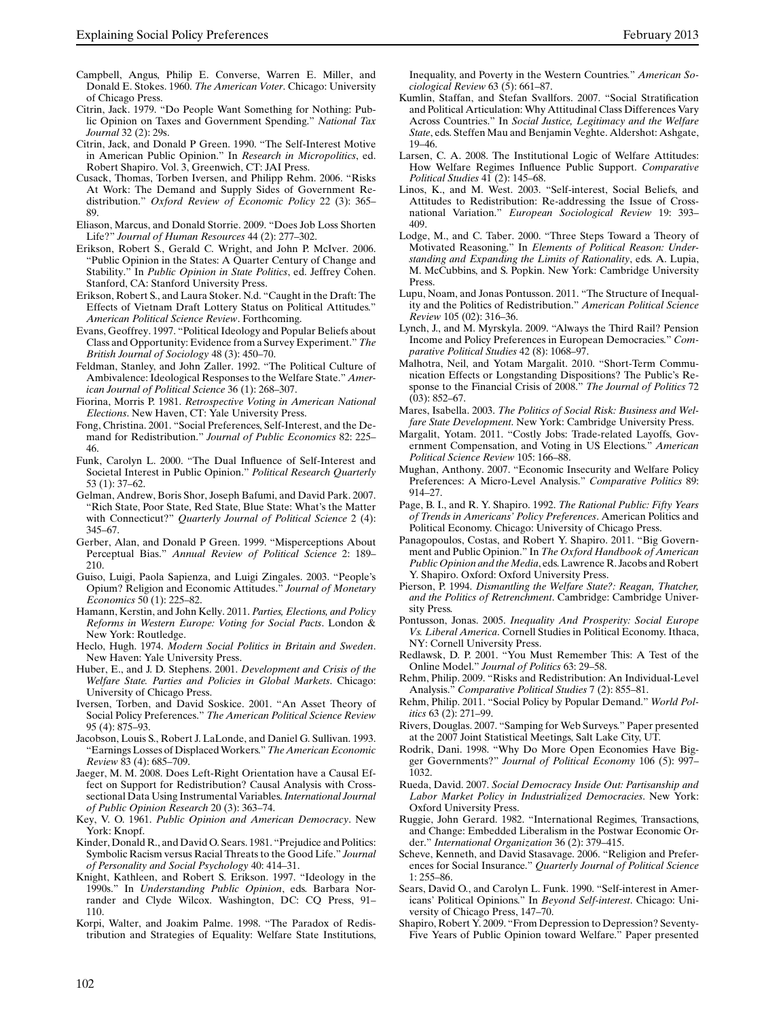- Campbell, Angus, Philip E. Converse, Warren E. Miller, and Donald E. Stokes. 1960. *The American Voter*. Chicago: University of Chicago Press.
- Citrin, Jack. 1979. "Do People Want Something for Nothing: Public Opinion on Taxes and Government Spending." *National Tax Journal* 32 (2): 29s.
- Citrin, Jack, and Donald P Green. 1990. "The Self-Interest Motive in American Public Opinion." In *Research in Micropolitics*, ed. Robert Shapiro. Vol. 3, Greenwich, CT: JAI Press.
- Cusack, Thomas, Torben Iversen, and Philipp Rehm. 2006. "Risks At Work: The Demand and Supply Sides of Government Redistribution." *Oxford Review of Economic Policy* 22 (3): 365– 89.
- Eliason, Marcus, and Donald Storrie. 2009. "Does Job Loss Shorten Life?" *Journal of Human Resources* 44 (2): 277–302.
- Erikson, Robert S., Gerald C. Wright, and John P. McIver. 2006. "Public Opinion in the States: A Quarter Century of Change and Stability." In *Public Opinion in State Politics*, ed. Jeffrey Cohen. Stanford, CA: Stanford University Press.
- Erikson, Robert S., and Laura Stoker. N.d. "Caught in the Draft: The Effects of Vietnam Draft Lottery Status on Political Attitudes." *American Political Science Review*. Forthcoming.
- Evans, Geoffrey. 1997. "Political Ideology and Popular Beliefs about Class and Opportunity: Evidence from a Survey Experiment." *The British Journal of Sociology* 48 (3): 450–70.
- Feldman, Stanley, and John Zaller. 1992. "The Political Culture of Ambivalence: Ideological Responses to the Welfare State." *American Journal of Political Science* 36 (1): 268–307.
- Fiorina, Morris P. 1981. *Retrospective Voting in American National Elections*. New Haven, CT: Yale University Press.
- Fong, Christina. 2001. "Social Preferences, Self-Interest, and the Demand for Redistribution." *Journal of Public Economics* 82: 225– 46.
- Funk, Carolyn L. 2000. "The Dual Influence of Self-Interest and Societal Interest in Public Opinion." *Political Research Quarterly* 53 (1): 37–62.
- Gelman, Andrew, Boris Shor, Joseph Bafumi, and David Park. 2007. "Rich State, Poor State, Red State, Blue State: What's the Matter with Connecticut?" *Quarterly Journal of Political Science* 2 (4): 345–67.
- Gerber, Alan, and Donald P Green. 1999. "Misperceptions About Perceptual Bias." *Annual Review of Political Science* 2: 189– 210.
- Guiso, Luigi, Paola Sapienza, and Luigi Zingales. 2003. "People's Opium? Religion and Economic Attitudes." *Journal of Monetary Economics* 50 (1): 225–82.
- Hamann, Kerstin, and John Kelly. 2011. *Parties, Elections, and Policy Reforms in Western Europe: Voting for Social Pacts*. London & New York: Routledge.
- Heclo, Hugh. 1974. *Modern Social Politics in Britain and Sweden*. New Haven: Yale University Press.
- Huber, E., and J. D. Stephens. 2001. *Development and Crisis of the Welfare State. Parties and Policies in Global Markets*. Chicago: University of Chicago Press.
- Iversen, Torben, and David Soskice. 2001. "An Asset Theory of Social Policy Preferences." *The American Political Science Review* 95 (4): 875–93.
- Jacobson, Louis S., Robert J. LaLonde, and Daniel G. Sullivan. 1993. "Earnings Losses of DisplacedWorkers."*The American Economic Review* 83 (4): 685–709.
- Jaeger, M. M. 2008. Does Left-Right Orientation have a Causal Effect on Support for Redistribution? Causal Analysis with Crosssectional Data Using Instrumental Variables.*International Journal of Public Opinion Research* 20 (3): 363–74.
- Key, V. O. 1961. *Public Opinion and American Democracy*. New York: Knopf.
- Kinder, Donald R., and David O. Sears. 1981. "Prejudice and Politics: Symbolic Racism versus Racial Threats to the Good Life." *Journal of Personality and Social Psychology* 40: 414–31.
- Knight, Kathleen, and Robert S. Erikson. 1997. "Ideology in the 1990s." In *Understanding Public Opinion*, eds. Barbara Norrander and Clyde Wilcox. Washington, DC: CQ Press, 91– 110.
- Korpi, Walter, and Joakim Palme. 1998. "The Paradox of Redistribution and Strategies of Equality: Welfare State Institutions,

Inequality, and Poverty in the Western Countries." *American Sociological Review* 63 (5): 661–87.

- Kumlin, Staffan, and Stefan Svallfors. 2007. "Social Stratification and Political Articulation: Why Attitudinal Class Differences Vary Across Countries." In *Social Justice, Legitimacy and the Welfare State*, eds. Steffen Mau and Benjamin Veghte. Aldershot: Ashgate, 19–46.
- Larsen, C. A. 2008. The Institutional Logic of Welfare Attitudes: How Welfare Regimes Influence Public Support. *Comparative Political Studies* 41 (2): 145–68.
- Linos, K., and M. West. 2003. "Self-interest, Social Beliefs, and Attitudes to Redistribution: Re-addressing the Issue of Crossnational Variation." *European Sociological Review* 19: 393– 409.
- Lodge, M., and C. Taber. 2000. "Three Steps Toward a Theory of Motivated Reasoning." In *Elements of Political Reason: Understanding and Expanding the Limits of Rationality*, eds. A. Lupia, M. McCubbins, and S. Popkin. New York: Cambridge University Press.
- Lupu, Noam, and Jonas Pontusson. 2011. "The Structure of Inequality and the Politics of Redistribution." *American Political Science Review* 105 (02): 316–36.
- Lynch, J., and M. Myrskyla. 2009. "Always the Third Rail? Pension Income and Policy Preferences in European Democracies." *Comparative Political Studies* 42 (8): 1068–97.
- Malhotra, Neil, and Yotam Margalit. 2010. "Short-Term Communication Effects or Longstanding Dispositions? The Public's Response to the Financial Crisis of 2008." *The Journal of Politics* 72 (03): 852–67.
- Mares, Isabella. 2003. *The Politics of Social Risk: Business and Welfare State Development*. New York: Cambridge University Press.
- Margalit, Yotam. 2011. "Costly Jobs: Trade-related Layoffs, Government Compensation, and Voting in US Elections." *American Political Science Review* 105: 166–88.
- Mughan, Anthony. 2007. "Economic Insecurity and Welfare Policy Preferences: A Micro-Level Analysis." *Comparative Politics* 89: 914–27.
- Page, B. I., and R. Y. Shapiro. 1992. *The Rational Public: Fifty Years of Trends in Americans' Policy Preferences*. American Politics and Political Economy. Chicago: University of Chicago Press.
- Panagopoulos, Costas, and Robert Y. Shapiro. 2011. "Big Government and Public Opinion." In *The Oxford Handbook of American Public Opinion and theMedia*, eds. Lawrence R. Jacobs and Robert Y. Shapiro. Oxford: Oxford University Press.
- Pierson, P. 1994. *Dismantling the Welfare State?: Reagan, Thatcher, and the Politics of Retrenchment*. Cambridge: Cambridge University Press.
- Pontusson, Jonas. 2005. *Inequality And Prosperity: Social Europe Vs. Liberal America*. Cornell Studies in Political Economy. Ithaca, NY: Cornell University Press.
- Redlawsk, D. P. 2001. "You Must Remember This: A Test of the Online Model." *Journal of Politics* 63: 29–58.
- Rehm, Philip. 2009. "Risks and Redistribution: An Individual-Level Analysis." *Comparative Political Studies* 7 (2): 855–81.
- Rehm, Philip. 2011. "Social Policy by Popular Demand." *World Politics* 63 (2): 271–99.
- Rivers, Douglas. 2007. "Samping for Web Surveys." Paper presented at the 2007 Joint Statistical Meetings, Salt Lake City, UT.
- Rodrik, Dani. 1998. "Why Do More Open Economies Have Bigger Governments?" *Journal of Political Economy* 106 (5): 997– 1032.
- Rueda, David. 2007. *Social Democracy Inside Out: Partisanship and Labor Market Policy in Industrialized Democracies*. New York: Oxford University Press.
- Ruggie, John Gerard. 1982. "International Regimes, Transactions, and Change: Embedded Liberalism in the Postwar Economic Order." *International Organization* 36 (2): 379–415.
- Scheve, Kenneth, and David Stasavage. 2006. "Religion and Preferences for Social Insurance." *Quarterly Journal of Political Science* 1: 255–86.
- Sears, David O., and Carolyn L. Funk. 1990. "Self-interest in Americans' Political Opinions." In *Beyond Self-interest*. Chicago: University of Chicago Press, 147–70.
- Shapiro, Robert Y. 2009. "From Depression to Depression? Seventy-Five Years of Public Opinion toward Welfare." Paper presented